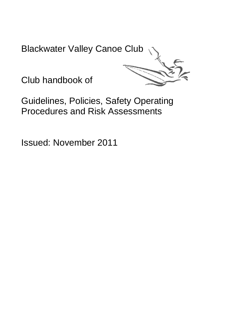Blackwater Valley Canoe Club



Club handbook of

Guidelines, Policies, Safety Operating Procedures and Risk Assessments

Issued: November 2011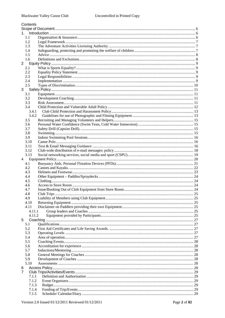| Contents       |  |
|----------------|--|
|                |  |
| 1.1            |  |
| 1.2            |  |
| 1.3            |  |
| 1.4            |  |
| 1.5            |  |
| 1.6            |  |
| $2^{\circ}$    |  |
| 2.1            |  |
| 2.2            |  |
| 2.3            |  |
| 2.4            |  |
| 2.5            |  |
| 3              |  |
| 3.1            |  |
| 3.2            |  |
| 3.3            |  |
| 3.4            |  |
| 3.4.1          |  |
| 3.4.2          |  |
| 3.5<br>3.6     |  |
| 3.7            |  |
| 3.8            |  |
| 3.9            |  |
| 3.10           |  |
| 3.11           |  |
| 3.12           |  |
| 3.13           |  |
| $\overline{4}$ |  |
| 4.1            |  |
| 4.2            |  |
| 4.3            |  |
| 4.4            |  |
| 4.5            |  |
| 4.6            |  |
| 4.7<br>4.8     |  |
| 4.9            |  |
| 4.10           |  |
| 4.11           |  |
| 4.11.1         |  |
| 4.11.2         |  |
| 5              |  |
| 5.1            |  |
| 5.2            |  |
| 5.3            |  |
| 5.4            |  |
| 5.5            |  |
| 5.6            |  |
| 5.7            |  |
| 5.8            |  |
| 5.9            |  |
| 5.10           |  |
| 6<br>7         |  |
| 7.1.1          |  |
| 7.1.2          |  |
| 7.1.3          |  |
| 7.1.4          |  |
| 7.1.5          |  |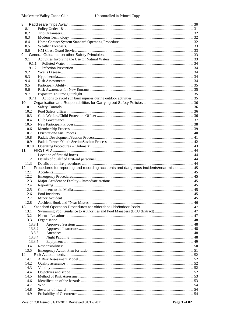| 8.1             |                                                                                         |  |
|-----------------|-----------------------------------------------------------------------------------------|--|
| 8.2             |                                                                                         |  |
| 8.3             |                                                                                         |  |
| 8.4             |                                                                                         |  |
| 8.5             |                                                                                         |  |
| 8.6             |                                                                                         |  |
| 9               |                                                                                         |  |
| 9.1             |                                                                                         |  |
|                 | 9.1.1                                                                                   |  |
|                 | 9.1.2                                                                                   |  |
| 9.2             |                                                                                         |  |
| 9.3             |                                                                                         |  |
| 9.4             |                                                                                         |  |
| 9.5             |                                                                                         |  |
| 9.6             |                                                                                         |  |
| 9.7             |                                                                                         |  |
|                 | 9.7.1                                                                                   |  |
| 10              |                                                                                         |  |
| 10.1            |                                                                                         |  |
| 10.2            |                                                                                         |  |
| 10.3            |                                                                                         |  |
| 10.4            |                                                                                         |  |
| 10.5            |                                                                                         |  |
| 10.6            |                                                                                         |  |
| 10.7            |                                                                                         |  |
| 10.8            |                                                                                         |  |
| 10.9            |                                                                                         |  |
| 10.10           |                                                                                         |  |
| 11              |                                                                                         |  |
| 11.1            |                                                                                         |  |
| 11.2            |                                                                                         |  |
|                 |                                                                                         |  |
| 11.3            |                                                                                         |  |
| 12 <sup>2</sup> | Procedures for reporting and recording accidents and dangerous incidents/near misses 45 |  |
| 12.1            |                                                                                         |  |
| 12.2            |                                                                                         |  |
| 12.3            |                                                                                         |  |
| 12.4            |                                                                                         |  |
| 12.5            |                                                                                         |  |
| 12.6            |                                                                                         |  |
| 12.7            |                                                                                         |  |
| 12.8            |                                                                                         |  |
| 13              |                                                                                         |  |
| 13.1            |                                                                                         |  |
| 13.2            |                                                                                         |  |
| 13.3            |                                                                                         |  |
|                 | 13.3.1                                                                                  |  |
|                 | 13.3.2                                                                                  |  |
|                 | 13.3.3                                                                                  |  |
|                 | 13.3.4                                                                                  |  |
|                 | 13.3.5                                                                                  |  |
| 13.4            |                                                                                         |  |
| 13.5<br>14      |                                                                                         |  |
|                 |                                                                                         |  |
| 14.1            |                                                                                         |  |
| 14.2            |                                                                                         |  |
| 14.3            |                                                                                         |  |
| 14.4<br>14.5    |                                                                                         |  |
| 14.6            |                                                                                         |  |
| 14.7            |                                                                                         |  |
| 14.8            |                                                                                         |  |
| 14.9            |                                                                                         |  |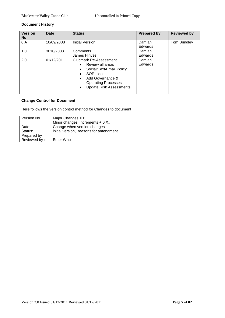# **Document History**

| <b>Version</b><br><b>No</b> | <b>Date</b> | <b>Status</b>                                                                                                                                                                                                | <b>Prepared by</b> | <b>Reviewed by</b> |
|-----------------------------|-------------|--------------------------------------------------------------------------------------------------------------------------------------------------------------------------------------------------------------|--------------------|--------------------|
| 0.A                         | 10/09/2008  | <b>Initial Version</b>                                                                                                                                                                                       | Damian<br>Edwards  | Tom Brindley       |
| 1.0                         | 3010/2008   | Comments                                                                                                                                                                                                     | Damian             |                    |
|                             |             | James Hinves                                                                                                                                                                                                 | Edwards            |                    |
| 2.0                         | 01/12/2011  | <b>Clubmark Re-Assessment</b><br>Review all areas<br>$\bullet$<br>Social/Text/Email Policy<br>٠<br>SOP Lido<br>Add Governance &<br><b>Operating Processes</b><br><b>Update Risk Assessments</b><br>$\bullet$ | Damian<br>Edwards  |                    |

# **Change Control for Document**

Here follows the version control method for Changes to document

| Version No   | Major Changes X.0                      |  |
|--------------|----------------------------------------|--|
|              | Minor changes increments $+$ 0.X.,     |  |
| Date:        | Change when version changes            |  |
| Status:      | initial version, reasons for amendment |  |
| Prepared by  |                                        |  |
| Reviewed by: | Enter Who                              |  |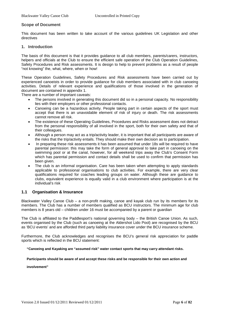### <span id="page-5-0"></span>**Scope of Document**

This document has been written to take account of the various guidelines UK Legislation and other directives

#### <span id="page-5-1"></span>**1. Introduction**

The basis of this document is that it provides guidance to all club members, parents/carers, instructors, helpers and officials at the Club to ensure the efficient safe operation of the Club Operation Guidelines, Safety Procedures and Risk assessments. It is design to help to prevent problems as a result of people "not knowing" the, what, where, when or how!

These Operation Guidelines, Safety Procedures and Risk assessments have been carried out by experienced canoeists in order to provide guidance for club members associated with in club canoeing activities. Details of relevant experience and qualifications of those involved in the generation of document are contained in appendix 1.

There are a number of important caveats:

- The persons involved in generating this document did so in a personal capacity. No responsibility lies with their employers or other professional contacts.
- Canoeing can be a hazardous activity. People taking part in certain aspects of the sport must accept that there is an unavoidable element of risk of injury or death. The risk assessments cannot remove all risk.
- The existence of these Operating Guidelines, Procedures and Risks assessment does not detract from the personal responsibility of all involved in the sport, both for their own safety and that of their colleagues.
- Although a person may act as a trip/activity leader, it is important that all participants are aware of the risks that the trip/activity entails. They should make their own decision as to participation.
- In preparing these risk assessments it has been assumed that under 18s will be required to have parental permission: this may take the form of general approval to take part in canoeing on the swimming pool or at the canal, however, for all weekend trips away the Club's Consent Form which has parental permission and contact details shall be used to confirm that permission has been given.
- The club is an informal organisation. Care has been taken when attempting to apply standards applicable to professional organisations to club activities. For example, there are very clear qualifications required for coaches leading groups on water. Although these are guidance to clubs, equivalent experience is equally valid in a club environment where participation is at the individual's risk

### <span id="page-5-2"></span>**1.1 Organisation & Insurance**

Blackwater Valley Canoe Club – a non-profit making, canoe and kayak club run by its members for its members. The Club has a number of members qualified as BCU instructors. The minimum age for club members is 8 years old – children under 16 must be accompanied by a parent or guardian

The Club is affiliated to the Paddlesport's national governing body – the British Canoe Union. As such, events organised by the Club (such as canoeing at the Aldershot Lido Pool) are recognised by the BCU as 'BCU events' and are afforded third party liability insurance cover under the BCU insurance scheme.

Furthermore, the Club acknowledges and recognises the BCU's general risk appreciation for paddle sports which is reflected in the BCU statement:

**"Canoeing and Kayaking are "assumed risk" water contact sports that may carry attendant risks.** 

#### **Participants should be aware of and accept these risks and be responsible for their own action and**

**involvement"**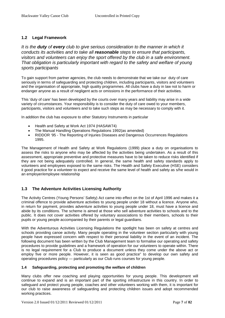# <span id="page-6-0"></span>**1.2 Legal Framework**

*It is the duty of every club to give serious consideration to the manner in which it conducts its activities and to take all reasonable steps to ensure that participants, visitors and volunteers can enjoy the sport offered by the club in a safe environment. That obligation is particularly important with regard to the safety and welfare of young sports participants* 

To gain support from partner agencies, the club needs to demonstrate that we take our duty of care seriously in terms of safeguarding and protecting children, including participants, visitors and volunteers and the organisation of appropriate, high quality programmes. All clubs have a duty in law not to harm or endanger anyone as a result of negligent acts or omissions in the performance of their activities.

This 'duty of care' has been developed by the courts over many years and liability may arise in a wide variety of circumstances. Your responsibility is to consider the duty of care owed to your members, participants, visitors and volunteers and to take such steps as may be necessary to comply with it.

In addition the club has exposure to other Statutory Instruments in particular

- Health and Safety at Work Act 1974 (HASAW74)
- The Manual Handling Operations Regulations 1992(as amended)
- RIDDOR '95 The Reporting of Injuries Diseases and Dangerous Occurrences Regulations 1995.

The Management of Health and Safety at Work Regulations (1999) place a duty on organisations to assess the risks to anyone who may be affected by the activities being undertaken. As a result of this assessment, appropriate preventive and protective measures have to be taken to reduce risks identified if they are not being adequately controlled. In general, the same health and safety standards apply to volunteers and employees exposed to the same risks. The Health and Safety Executive (HSE) considers it good practice for a volunteer to expect and receive the same level of health and safety as s/he would in an employer/employee relationship

# <span id="page-6-1"></span>**1.3 The Adventure Activities Licensing Authority**

The Activity Centres (Young Persons' Safety) Act came into effect on the 1st of April 1996 and makes it a criminal offence to provide adventure activities to young people under 18 without a licence. Anyone who, in return for payment, provides adventure activities to young people under 18, must have a licence and abide by its conditions. The scheme is aimed at those who sell adventure activities to schools and to the public. It does not cover activities offered by voluntary associations to their members, schools to their pupils or young people accompanied by their parents or legal guardians.

With the Adventurous Activities Licensing Regulations the spotlight has been on safety at centres and schools providing canoe activity. Many people operating in the volunteer section particularly with young people have expressed concern with respect to their personal liability in the event of an incident. The following document has been written by the Club Management team to formalise our operating and safety procedures to provide guidelines and a framework of operation for our volunteers to operate within. There is no legal requirement for a Club to produce a document unless they come under the above act or employ five or more people. However, it is seen as good practice" to develop our own safety and operating procedures policy — particularly as our Club runs courses for young people.

### <span id="page-6-2"></span>**1.4 Safeguarding, protecting and promoting the welfare of children**

Many clubs offer new coaching and playing opportunities for young people. This development will continue to expand and is an important part of the sporting infrastructure in this country. In order to safeguard and protect young people, coaches and other volunteers working with them, it is important for our club to raise awareness of safeguarding and protecting children issues and adopt recommended working practices.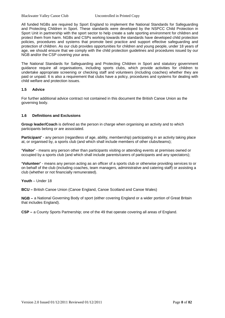All funded NGBs are required by Sport England to implement the National Standards for Safeguarding and Protecting Children in Sport. These standards were developed by the NSPCC Child Protection in Sport Unit in partnership with the sport sector to help create a safe sporting environment for children and protect them from harm. NGBs and CSPs working towards the standards have developed child protection policies, procedures and systems that promote best practice and support effective safeguarding and protection of children. As our club provides opportunities for children and young people, under 18 years of age, we should ensure that we comply with the child protection guidelines and procedures issued by our NGB and/or the CSP covering your area.

The National Standards for Safeguarding and Protecting Children in Sport and statutory government guidance require all organisations, including sports clubs, which provide activities for children to undertake appropriate screening or checking staff and volunteers (including coaches) whether they are paid or unpaid. It is also a requirement that clubs have a policy, procedures and systems for dealing with child welfare and protection issues.

### <span id="page-7-0"></span>**1.5 Advice**

For further additional advice contract not contained in this document the British Canoe Union as the governing body.

#### <span id="page-7-1"></span>**1.6 Definitions and Exclusions**

**Group leader/Coach** is defined as the person in charge when organising an activity and to which participants belong or are associated.

**Participant'** - any person (regardless of age, ability, membership) participating in an activity taking place at, or organised by, a sports club (and which shall include members of other clubs/teams);

**'Visitor'** - means any person other than participants visiting or attending events at premises owned or occupied by a sports club (and which shall include parents/carers of participants and any spectators);

**'Volunteer'** - means any person acting as an officer of a sports club or otherwise providing services to or on behalf of the club (including coaches, team managers, administrative and catering staff) or assisting a club (whether or not financially remunerated).

#### **Youth** – Under 18

**BCU –** British Canoe Union (Canoe England, Canoe Scotland and Canoe Wales)

**NGB –** a National Governing Body of sport (either covering England or a wider portion of Great Britain that includes England).

**CSP –** a County Sports Partnership; one of the 49 that operate covering all areas of England.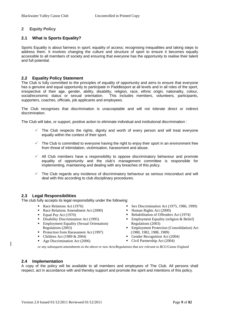# <span id="page-8-0"></span>**2 Equity Policy**

# <span id="page-8-1"></span>**2.1 What is Sports Equality?**

Sports Equality is about fairness in sport; equality of access; recognising inequalities and taking steps to address them. It involves changing the culture and structure of sport to ensure it becomes equally accessible to all members of society and ensuring that everyone has the opportunity to realise their talent and full potential.

### <span id="page-8-2"></span>**2.2 Equality Policy Statement**

The Club is fully committed to the principles of equality of opportunity and aims to ensure that everyone has a genuine and equal opportunity to participate in Paddlesport at all levels and in all roles of the sport, irrespective of their age, gender, ability, disability, religion, race, ethnic origin, nationality, colour, social/economic status or sexual orientation. This includes members, volunteers, participants, supporters, coaches, officials, job applicants and employees.

The Club recognises that discrimination is unacceptable and will not tolerate direct or indirect discrimination.

The Club will take, or support, positive action to eliminate individual and institutional discrimination :

- The Club respects the rights, dignity and worth of every person and will treat everyone equally within the context of their sport.
- $\checkmark$  The Club is committed to everyone having the right to enjoy their sport in an environment free from threat of intimidation, victimisation, harassment and abuse.
- $\checkmark$  All Club members have a responsibility to oppose discriminatory behaviour and promote equality of opportunity and the club's management committee is responsible for implementing, maintaining and dealing with any breaches of this policy.
- The Club regards any incidence of discriminatory behaviour as serious misconduct and will deal with this according to club disciplinary procedures.

### <span id="page-8-3"></span>**2.3 Legal Responsibilities**

The club fully accepts its legal responsibility under the following:

- Race Relations Act (1976)
- Race Relations Amendment Act (2000)
- **Equal Pay Act (1970)**<br>**Explorate Discriminat**
- Disability Discrimination Act (1995)
- Employment Equality (Sexual Orientation) Regulations (2003)
- Protection from Harassment Act (1997)
- Children Act (1989  $& 2004$ )
- Age Discrimination Act (2006)
- Sex Discrimination Act (1975, 1986, 1999)
- $\blacksquare$  Human Rights Act (2000)
- Rehabilitation of Offenders Act (1974)
- Employment Equality (religion & Belief) Regulations (2003)
- Employment Protection (Consolidation) Act (1980, 1982, 1988, 1989)
- Gender Recognition Act (2004)
- Civil Partnership Act (2004)

*or any subsequent amendments to the above or new Acts/Regulations that are relevant to BCU/Canoe England*

### <span id="page-8-4"></span>**2.4 Implementation**

A copy of the policy will be available to all members and employees of The Club. All persons shall respect, act in accordance with and thereby support and promote the spirit and intentions of this policy.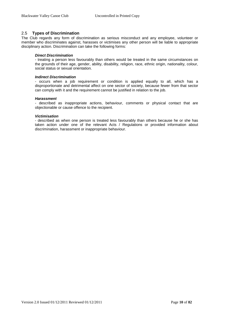# <span id="page-9-0"></span>2.5 **Types of Discrimination**

The Club regards any form of discrimination as serious misconduct and any employee, volunteer or member who discriminates against, harasses or victimises any other person will be liable to appropriate disciplinary action. Discrimination can take the following forms:

### *Direct Discrimination*

- treating a person less favourably than others would be treated in the same circumstances on the grounds of their age, gender, ability, disability, religion, race, ethnic origin, nationality, colour, social status or sexual orientation.

### *Indirect Discrimination*

- occurs when a job requirement or condition is applied equally to all, which has a disproportionate and detrimental affect on one sector of society, because fewer from that sector can comply with it and the requirement cannot be justified in relation to the job.

### *Harassment*

- described as inappropriate actions, behaviour, comments or physical contact that are objectionable or cause offence to the recipient.

### *Victimisation*

- described as when one person is treated less favourably than others because he or she has taken action under one of the relevant Acts / Regulations or provided information about discrimination, harassment or inappropriate behaviour.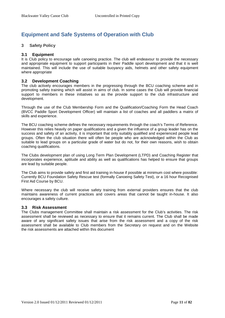# **Equipment and Safe Systems of Operation with Club**

# <span id="page-10-0"></span>**3 Safety Policy**

### <span id="page-10-1"></span>**3.1 Equipment**

It is Club policy to encourage safe canoeing practice. The club will endeavour to provide the necessary and appropriate equipment to support participants in their Paddle sport development and that it is well maintained. This will include the use of suitable buoyancy aids, helmets and other safety equipment where appropriate

### <span id="page-10-2"></span>**3.2 Development Coaching**

The club actively encourages members in the progressing through the BCU coaching scheme and in promoting safety training which will assist in aims of club. In some cases the Club will provide financial support to members in these initiatives so as the provide support to the club infrastructure and development.

Through the use of the Club Membership Form and the Qualification/Coaching Form the Head Coach (BVCC Paddle Sport Development Officer) will maintain a list of coaches and all paddlers a matrix of skills and experience.

The BCU coaching scheme defines the necessary requirements through the coach's Terms of Reference. However this relies heavily on paper qualifications and a given the influence of a group leader has on the success and safety of an activity, it is important that only suitably qualified and experienced people lead groups. Often the club situation there will often be people who are acknowledged within the Club as suitable to lead groups on a particular grade of water but do not, for their own reasons, wish to obtain coaching qualifications.

The Clubs development plan of using Long Term Plan Development (LTPD) and Coaching Register that incorporates experience, aptitude and ability as well as qualifications has helped to ensure that groups are lead by suitable people.

The Club aims to provide safety and first aid training in-house if possible at minimum cost where possible: Currently BCU Foundation Safety Rescue test (formally Canoeing Safety Test), or a 16 hour Recognised First Aid Course by BCU.

Where necessary the club will receive safety training from external providers ensures that the club maintains awareness of current practices and covers areas that cannot be taught in-house. It also encourages a safety culture.

### <span id="page-10-3"></span>**3.3 Risk Assessment**

The Clubs management Committee shall maintain a risk assessment for the Club's activities. The risk assessment shall be reviewed as necessary to ensure that it remains current. The Club shall be made aware of any significant safety issues that arise from the risk assessment and a copy of the risk assessment shall be available to Club members from the Secretary on request and on the Website the risk assessments are attached within this document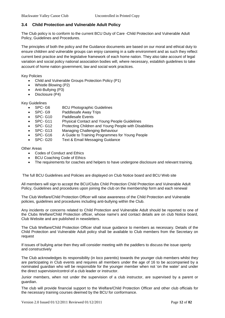# <span id="page-11-0"></span>**3.4 Child Protection and Vulnerable Adult Policy**

The Club policy is to conform to the current BCU Duty of Care -Child Protection and Vulnerable Adult Policy, Guidelines and Procedures.

The principles of both the policy and the Guidance documents are based on our moral and ethical duty to ensure children and vulnerable groups can enjoy canoeing in a safe environment and as such they reflect current best practice and the legislative framework of each home nation. They also take account of legal variation and social policy national association bodies will, where necessary, establish guidelines to take account of home nation government, law and social work practices.

Key Policies

- Child and Vulnerable Groups Protection Policy (P1)
- Whistle Blowing (P2)
- Anti-Bullying (P3)
- Disclosure (P4)

Key Guidelines

- SPC- G6 BCU Photographic Guidelines
- SPC- G9 Paddlesafe Away Trips
- SPC- G10 Paddlesafe Events
- SPC- G11 Physical Contact and Young People Guidelines
- SPC- G12 Protecting Children and Young People with Disabilities
- SPC- G13 Managing Challenging Behaviour
- SPC- G16 A Guide to Training Programmes for Young People
- SPC- G20 Text & Email Messaging Guidance

Other Areas

- Codes of Conduct and Ethics
- BCU Coaching Code of Ethics
- The requirements for coaches and helpers to have undergone disclosure and relevant training.

The full BCU Guidelines and Policies are displayed on Club Notice board and BCU Web site

All members will sign to accept the BCU/Clubs Child Protection Child Protection and Vulnerable Adult Policy, Guidelines and procedures upon joining the club on the membership form and each renewal

The Club Welfare/Child Protection Officer will raise awareness of the Child Protection and Vulnerable policies, guidelines and procedures including anti-bullying within the Club.

Any incidents or concerns related to Child Protection and Vulnerable Adult should be reported to one of the Clubs Welfare/Child Protection officer, whose name's and contact details are on club Notice board, Club Website and are published in newsletters.

The Club Welfare/Child Protection Officer shall issue guidance to members as necessary. Details of the Child Protection and Vulnerable Adult policy shall be available to Club members from the Secretary on request

If issues of bullying arise then they will consider meeting with the paddlers to discuss the issue openly and constructively

The Club acknowledges its responsibility (in loco parentis) towards the younger club members whilst they are participating in Club events and requires all members under the age of 16 to be accompanied by a nominated guardian who will be responsible for the younger member when not 'on the water' and under the direct supervision/control of a club leader or instructor.

Junior members, when not under the supervision of a club instructor, are supervised by a parent or guardian.

The club will provide financial support to the Welfare/Child Protection Officer and other club officials for the necessary training courses deemed by the BCU for conformance.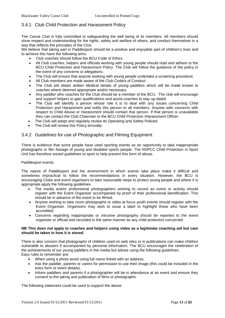# <span id="page-12-0"></span>3.4.1 Club Child Protection and Harassment Policy

The Canoe Club is fully committed to safeguarding the well being of its members. All members should show respect and understanding for the rights, safety and welfare of others, and conduct themselves in a way that reflects the principles of the Club.

We believe that taking part in Paddlesport should be a positive and enjoyable part of children's lives and to achieve this have the following aims:

- Club coaches should follow the BCU Code of Ethics
- All Club coaches, helpers and officials working with young people should read and adhere to the BCU Child Protection and Harassment Policy. The Club will follow the guidance of the policy in the event of any concerns or allegations.
- The Club will ensure that anyone working with young people undertake a screening procedure.
- All Club members are made aware of the Club Code/s of Conduct
- The Club will obtain written Medical details of young paddlers which will be made known to coaches where deemed appropriate and/or necessary.
- Any paddler who coaches for the Club should be a member of the BCU. The club will encourage and support helpers to gain qualifications and assist coaches to stay up-dated
- The Club will identify a person whose role it is to deal with any issues concerning Child Protection and Harassment and notify this person to all members. Anyone with concerns with respect to Child Abuse or Harassment should contact that person. If that person is unavailable they can contact the Club Chairman or the BCU Child Protection /Harassment Officer.
- The Club will adopt and regularly review its Operating and Safety Policies
- The Club will review this Policy annually.

# <span id="page-12-1"></span>3.4.2 Guidelines for use of Photographic and Filming Equipment

There is evidence that some people have used sporting events as an opportunity to take inappropriate photographs or film footage of young and disabled sports people. The NSPCC Child Protection in Sport Unit has therefore issued guidelines to sport to help prevent this form of abuse.

#### Paddlesport events

The nature of Paddlesport and the environment in which events take place make it difficult and sometimes impractical to follow the recommendations in every situation. However, the BCU is encouraging Clubs and event organisers to take reasonable steps to protect young people and where it is appropriate apply the following guidelines.

- The media and/or professional photographers wishing to record an event or activity should register with the Event Organiser accompanied by proof of their professional identification. This should be in advance of the event to be filmed.
- Anyone wishing to take zoom photographs or video at focus youth events should register with the Event Organiser. Organisers may wish to issue a label to highlight those who have been accredited.
- Concerns regarding inappropriate or intrusive photography should be reported to the event organiser or official and recorded in the same manner as any child protection concerned

#### **NB This does not apply to coaches and helpers using video as a legitimate coaching aid but care should be taken in how it is stored**.

There is also concern that photographs of children used on web sites or in publications can make children vulnerable to abusers if accompanied by personal information. The BCU encourages the celebration of the achievements of our young paddlers in the media but advise using the following guidelines. Easy rules to remember are:

- When using a photo avoid using full name linked with an address.
- Ask the paddler, parents or carers for permission to use their image (this could be included in the entry form or event details).
- Inform paddlers and parents if a photographer will be in attendance at an event and ensure they consent to the taking and publication of films or photographs.

The following statement could be used to support the above: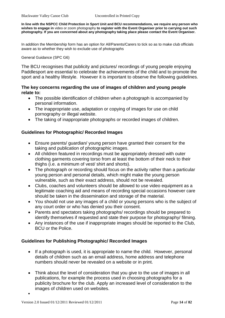**In line with the NSPCC Child Protection in Sport Unit and BCU recommendations, we require any person who wishes to engage in** video or zoom photography **to register with the Event Organiser prior to carrying out such photography. If you are concerned about any photography taking place please contact the Event Organiser.**

In addition the Membership form has an option for All/Parents/Carers to tick so as to make club officials aware as to whether they wish to exclude use of photographs

General Guidance (SPC G6)

The BCU recognises that publicity and pictures/ recordings of young people enjoying Paddlesport are essential to celebrate the achievements of the child and to promote the sport and a healthy lifestyle. However it is important to observe the following guidelines.

# **The key concerns regarding the use of images of children and young people relate to:**

- The possible identification of children when a photograph is accompanied by personal information.
- The inappropriate use, adaptation or copying of images for use on child pornography or illegal website.
- The taking of inappropriate photographs or recorded images of children.

# **Guidelines for Photographic/ Recorded Images**

- Ensure parents/ guardian/ young person have granted their consent for the taking and publication of photographic images.
- All children featured in recordings must be appropriately dressed with outer clothing garments covering torso from at least the bottom of their neck to their thighs (i.e. a minimum of vest/ shirt and shorts).
- The photograph or recording should focus on the activity rather than a particular young person and personal details, which might make the young person vulnerable, such as their exact address, should not be revealed.
- Clubs, coaches and volunteers should be allowed to use video equipment as a legitimate coaching aid and means of recording special occasions however care should be taken in the dissemination and storage of the material.
- You should not use any images of a child or young persons who is the subject of any court order or who has denied you their consent.
- Parents and spectators taking photographs/ recordings should be prepared to identify themselves if requested and state their purpose for photography/ filming.
- Any instances of the use if inappropriate images should be reported to the Club, BCU or the Police.

# **Guidelines for Publishing Photographic/ Recorded Images**

- If a photograph is used, it is appropriate to name the child. However, personal details of children such as an email address, home address and telephone numbers should never be revealed on a website or in print.
- Think about the level of consideration that you give to the use of images in all publications, for example the process used in choosing photographs for a publicity brochure for the club. Apply an increased level of consideration to the images of children used on websites.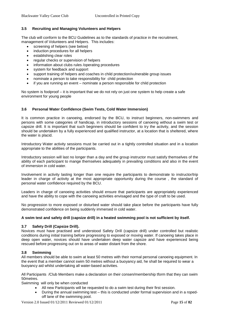# <span id="page-14-0"></span>**3.5 Recruiting and Managing Volunteers and Helpers**

The club will conform to the BCU Guidelines as to the standards of practice in the recruitment, management of Volunteers and Helpers. This includes:

- screening of helpers (see below)
- induction procedures for all helpers
- establishing clear roles
- regular checks or supervision of helpers
- information about clubs rules /operating procedures
- system for feedback and support
- support training of helpers and coaches in child protection/vulnerable group issues
- nominate a person to take responsibility for child protection
- if you are running an event nominate a person responsible for child protection

No system is foolproof – it is important that we do not rely on just one system to help create a safe environment for young people

### <span id="page-14-1"></span>**3.6 Personal Water Confidence (Swim Tests, Cold Water Immersion)**

It is common practice in canoeing, endorsed by the BCU, to instruct beginners, non-swimmers and persons with some categories of handicap, in introductory sessions of canoeing without a swim test or capsize drill. It is important that such beginners should be confident to try the activity, and the session should be undertaken by a fully experienced and qualified instructor, at a location that is sheltered, where the water is placid.

Introductory Water activity sessions must be carried out in a tightly controlled situation and in a location appropriate to the abilities of the participants.

Introductory session will last no longer than a day and the group instructor must satisfy themselves of the ability of each participant to mange themselves adequately in prevailing conditions and also in the event of immersion in cold water.

Involvement in activity lasting longer than one require the participants to demonstrate to instructor/trip leader in charge of activity at the most appropriate opportunity during the course , the standard of personal water confidence required by the BCU.

Leaders in charge of canoeing activities should ensure that participants are appropriately experienced and have the ability to cope with the canoeing activities envisaged and the type of craft to be used.

No progression to more exposed or disturbed water should take place before the participants have fully demonstrated confidence on being suddenly immersed in cold water.

#### **A swim test and safety drill (capsize drill) in a heated swimming pool is not sufficient by itself.**

#### <span id="page-14-2"></span>**3.7 Safety Drill (Capsize Drill).**

Novices must have practised and understood Safety Drill (capsize drill) under controlled but realistic conditions during initial training before progressing to exposed or moving water. If canoeing takes place in deep open water, novices should have undertaken deep water capsize and have experienced being rescued before progressing out on to areas of water distant from the shore.

#### <span id="page-14-3"></span>**3.8 Swimming**

All members should be able to swim at least 50 metres with their normal personal canoeing equipment. In the event that a member cannot swim 50 metres without a buoyancy aid, he shall be required to wear a buoyancy aid whilst undertaking all water-based activities.

All Participants /Club Members make a declaration on their consen/membership tform that they can swim 50metres.

Swimming will only be when conducted

- All new Participants will be requested to do a swim test during their first session.
- During the annual swimming test this is conducted under formal supervision and in a ropedoff lane of the swimming pool.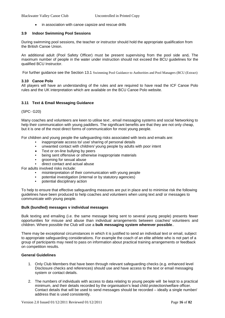in association with canoe capsize and rescue drills

#### <span id="page-15-0"></span>**3.9 Indoor Swimming Pool Sessions**

During swimming pool sessions, the teacher or instructor should hold the appropriate qualification from the British Canoe Union.

An additional adult (Pool Safety Officer) must be present supervising from the pool side and**.** The maximum number of people in the water under instruction should not exceed the BCU guidelines for the qualified BCU Instructor.

For further guidance see the Section [13.1](#page-46-1) [Swimming Pool Guidance to Authorities and Pool Managers \(BCU \(Extract\)](#page-46-1)

### <span id="page-15-1"></span>**3.10 Canoe Polo**

All players will have an understanding of the rules and are required to have read the ICF Canoe Polo rules and the UK interpretation which are available on the BCU Canoe Polo website.

#### <span id="page-15-2"></span>**3.11 Text & Email Messaging Guidance**

(SPC- G20)

Many coaches and volunteers are keen to utilise text , email messaging systems and social Networking to help their communication with young paddlers. The significant benefits are that they are not only cheap, but it is one of the most direct forms of communication for most young people.

For children and young people the safeguarding risks associated with texts and emails are:

- inappropriate access to/ use/ sharing of personal details
- unwanted contact with children/ young people by adults with poor intent
- Text or on-line bullying by peers
- being sent offensive or otherwise inappropriate materials
- grooming for sexual abuse
- direct contact and actual abuse
- For adults involved risks include:
	- misinterpretation of their communication with young people
	- potential investigation (internal or by statutory agencies)<br>• potential disciplinary action
	- potential disciplinary action

To help to ensure that effective safeguarding measures are put in place and to minimise risk the following guidelines have been produced to help coaches and volunteers when using text and/ or messages to communicate with young people.

#### **Bulk (bundled) messages v individual messages**

Bulk texting and emailing (i.e. the same message being sent to several young people) presents fewer opportunities for misuse and abuse than individual arrangements between coaches/ volunteers and children. Where possible the Club will use a **bulk messaging system wherever possible**..

There may be exceptional circumstances in which it is justified to send an individual text or email, subject to appropriate safeguarding considerations. For example the coach of an elite athlete who is not part of a group of participants may need to pass on information about practical training arrangements or feedback on competition results.

#### **General Guidelines**

- 1. Only Club Members that have been through relevant safeguarding checks (e.g. enhanced level Disclosure checks and references) should use and have access to the text or email messaging system or contact details.
- 2. The numbers of individuals with access to data relating to young people will be kept to a practical minimum, and their details recorded by the organisation's lead child protection/welfare officer. Contact details that will be used to send messages should be recorded – ideally a single number/ address that is used consistently.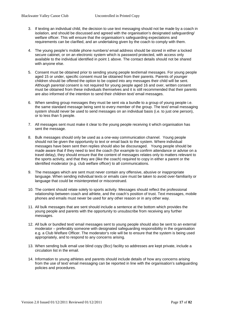- 3. If texting an individual child, the decision to use text messaging should not be made by a coach in isolation, and should be discussed and agreed with the organisation's designated safeguarding/ welfare officer. This will ensure that the organisation's safeguarding expectations and requirements can be clarified, and an undertaking given by the coach to comply with them.
- 4. The young people's mobile phone numbers/ email address should be stored in either a locked secure cabinet, or on an electronic system which is password protected, with access only available to the individual identified in point 1 above. The contact details should not be shared with anyone else.
- 5. Consent must be obtained prior to sending young people text/email messages. For young people aged 15 or under, specific consent must be obtained from their parents. Parents of younger children should be offered the option to be copied into any messages their child will be sent. Although parental consent is not required for young people aged 16 and over, written consent must be obtained from these individuals themselves and it is still recommended that their parents are also informed of the intention to send their children text/ email messages.
- 6. When sending group messages they must be sent via a bundle to a group of young people i.e. the same standard message being sent to every member of the group. The text/ email messaging system should never be used to send messages on an individual basis (i.e. to just one person), or to less than 5 people.
- 7. All messages sent must make it clear to the young people receiving it which organisation has sent the message.
- 8. Bulk messages should only be used as a one-way communication channel. Young people should not be given the opportunity to text or email back to the system. Where individual messages have been sent then replies should also be discouraged. Young people should be made aware that if they need to text the coach (for example to confirm attendance or advise on a travel delay), they should ensure that the content of messages relates only to matters relevant to the sports activity, and that they are (like the coach) required to copy in either a parent or the identified moderator (e.g. club welfare officer) to all communications.
- 9. The messages which are sent must never contain any offensive, abusive or inappropriate language. When sending individual texts or emails care must be taken to avoid over-familiarity or language that could be misinterpreted or misconstrued.
- 10. The content should relate solely to sports activity. Messages should reflect the professional relationship between coach and athlete, and the coach's position of trust. Text messages, mobile phones and emails must never be used for any other reason or in any other way.
- 11. All bulk messages that are sent should include a sentence at the bottom which provides the young people and parents with the opportunity to unsubscribe from receiving any further messages.
- 12. All bulk or bundled text/ email messages sent to young people should also be sent to an external moderator – preferably someone with designated safeguarding responsibility in the organisation e.g. a Club Welfare Officer. The moderator's role will be to ensure that the system is being used appropriately, and to respond to any concerns arising.
- 13. When sending bulk email use blind copy (Bcc) facility so addresses are kept private, include a circulation list in the email.
- 14. Information to young athletes and parents should include details of how any concerns arising from the use of text/ email messaging can be reported in line with the organisation's safeguarding policies and procedures.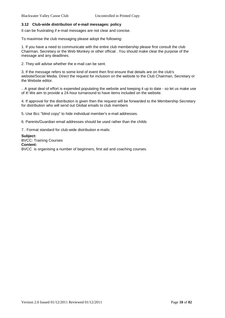# <span id="page-17-0"></span>**3.12 Club-wide distribution of e-mail messages: policy**

It can be frustrating if e-mail messages are not clear and concise.

To maximise the club messaging please adopt the following:

1. If you have a need to communicate with the entire club membership please first consult the club Chairman, Secretary or the Web Monkey or other official . You should make clear the purpose of the message and any deadlines.

2. They will advise whether the e-mail can be sent.

3. If the message refers to some kind of event then first ensure that details are on the club's website/Social Media. Direct the request for inclusion on the website to the Club Chairman, Secretary or the Website editor.

.. A great deal of effort is expended populating the website and keeping it up to date - so let us make use of it! We aim to provide a 24-hour turnaround to have items included on the website.

4. If approval for the distribution is given then the request will be forwarded to the Membership Secretary for distribution who will send out Global emails to club members

5. Use Bcc "blind copy" to hide individual member's e-mail addresses.

6. Parents/Guardian email addresses should be used rather than the childs

7 . Format standard for club-wide distribution e-mails:

**Subject:**  BVCC: Training Courses **Content:**  BVCC is organising a number of beginners, first aid and coaching courses.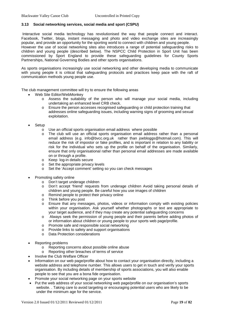### <span id="page-18-0"></span>**3.13 Social networking services, social media and sport (CSPU)**

Interactive social media technology has revolutionised the way that people connect and interact. Facebook, Twitter, blogs, instant messaging and photo and video exchange sites are increasingly popular, and provide an opportunity for the sporting world to connect with children and young people. However the use of social networking sites also introduces a range of potential safeguarding risks to children and young people (described below). The NSPCC Child Protection in Sport Unit has been commissioned by Sport England to provide these safeguarding guidelines for County Sports Partnerships, National Governing Bodies and other sports organisations.

As sports organisations increasingly use social networking and other developing media to communicate with young people it is critical that safeguarding protocols and practices keep pace with the raft of communication methods young people use.

The club management committee will try to ensure the following areas

- Web Site Editor/WebMonkey
	- o Assess the suitability of the person who will manage your social media, including undertaking an enhanced level CRB check.
	- o Ensure the person accesses recognised safeguarding or child protection training that addresses online safeguarding issues, including warning signs of grooming and sexual exploitation.
- Setup
	- o Use an official sports organisation email address where possible<br>
	o The club will use an official sports organisation email address
	- The club will use an official sports organisation email address rather than a personal email address (e.g. [info@bvcc.org.uk](mailto:info@bvcc.org.uk) rather than joebloggs@hotmail.com). This will reduce the risk of impostor or fake profiles, and is important in relation to any liability or risk for the individual who sets up the profile on behalf of the organisation. Similarly, ensure that only organisational rather than personal email addresses are made available on or through a profile.
	- o Keep log-in details secure
	- o Set the appropriate privacy levels
	- o Set the 'Accept comment' setting so you can check messages
- Promoting safety online
	- o Don't target underage children
	- o Don't accept 'friend' requests from underage children Avoid taking personal details of children and young people. Be careful how you use images of children
	- o Remind people to protect their privacy online
	- o Think before you post<br>o Ensure that any mess
	- Ensure that any messages, photos, videos or information comply with existing policies within your organisation. Ask yourself whether photographs or text are appropriate to your target audience, and if they may create any potential safeguarding concerns
	- o Always seek the permission of young people and their parents before adding photos of or information about children or young people to your sports web page/profile.
	- o Promote safe and responsible social networking
	- o Provide links to safety and support organisations
	- o Data Protection considerations
- Reporting problems
	- o Reporting concerns about possible online abuse
	- o Reporting other breaches of terms of service
- Involve the Club Welfare Officer
- Information on our web page/profile about how to contact your organisation directly, including a website address and telephone number. This allows users to get in touch and verify your sports organisation. By including details of membership of sports associations, you will also enable people to see that you are a bona fide organisation.
- Promote your social networking page on your sports website
- Put the web address of your social networking web page/profile on our organisation's sports website. . Taking care to avoid targeting or encouraging potential users who are likely to be under the minimum age for the service.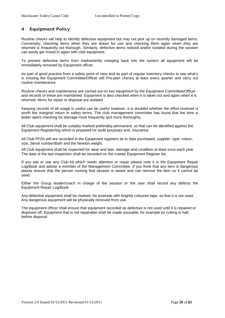# <span id="page-19-0"></span>**4 Equipment Policy**

Routine checks will help to identify defective equipment but may not pick up on recently damaged items. Conversely, checking items when they are drawn for use and checking them again when they are returned is frequently not thorough. Similarly, defective items noticed and/or isolated during the session can easily get mixed in again with club equipment.

To prevent defective items from inadvertently creeping back into the system all equipment will be immediately removed by Equipment officer

As part of good practice from a safety point of view and as part of regular inventory checks to see what's is missing the Equipment Committee/Officer will Pre-plan checks at least every quarter and carry out routine maintenance

Routine checks and maintenance are carried out on key equipment by the Equipment Committee/Officer and records of these are maintained. Equipment is also checked when it is taken out and again when it is returned. Items for repair or disposal are isolated

Keeping records of all usage is useful can be useful however, it is doubtful whether the effort involved is worth the marginal return in safety terms. The club management committee has found that the time is better spent checking for damage more frequently and more thoroughly.

All Club equipment shall be suitably marked preferably permanent, so that can be identified against the Equipment Register/log which is prepared for audit purposes and. insurance.

All Club PFDs will are recorded in the Equipment registers as to date purchased, supplier, type, colour, size, Serial number/Bath and the Newton weight.

All Club equipment shall be inspected for wear and tear, damage and condition at least once each year. The date of the last inspection shall be recorded on the master Equipment Register list.

If you see or use any Club kit which needs attention or repair please note it in the Equipment Repair Log/Book and advise a member of the Management Committee. If you think that any item is dangerous please ensure that the person running that session is aware and can remove the item so it cannot be used.

Either the Group leader/coach in charge of the session or the user shall record any defects the Equipment Repair Log/Book

Any defective equipment shall be marked, for example with brightly coloured tape, so that it is not used. Any dangerous equipment will be physically removed from use

The equipment officer shall ensure that equipment recorded as defective is not used until it is repaired or disposed off. Equipment that is not repairable shall be made unusable, for example by cutting in half, before disposal.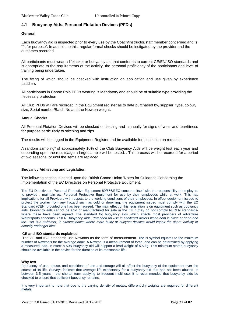# <span id="page-20-0"></span>**4.1 Buoyancy Aids. Personal Flotation Devices (PFDs)**

#### **Genera**l

Each buoyancy aid is inspected prior to every use by the Coach/instructor/staff member concerned and is "fit for purpose". In addition to this, regular formal checks should be instigated by the provider and the outcomes recorded.

All participants must wear a lifejacket or buoyancy aid that conforms to current CE/EN/ISO standards and is appropriate to the requirements of the activity, the personal proficiency of the participants and level of training being undertaken.

The fitting of which should be checked with instruction on application and use given by experience paddlers

. All participants in Canoe Polo PFDs wearing is Mandatory and should be of suitable type providing the necessary protection

All Club PFDs will are recorded in the Equipment register as to date purchased by, supplier, type, colour, size, Serial number/Batch No and the Newton weight.

#### **Annual Checks**

All Personal Flotation Devices will be checked on issuing and annually for signs of wear and tear/fitness for purpose particularly to stitching and zips.

The results will be logged in the Equipment Register and be available for inspection on request.

A random sampling" of approximately 10% of the Club Buoyancy Aids will be weight test each year and depending upon the results/age a large sample will be tested. . This process will be recorded for a period of two seasons, or until the items are replaced

#### **Buoyancy Aid testing and Legislation**

The following section is based upon the British Canoe Union 'Notes for Guidance Concerning the Implementation of the EC Directives on Personal Protective Equipment.

The EU Directive on Personal Protective Equipment 89/656/EEC concerns itself with the responsibility of employers to provide , maintain etc Personal Protective Equipment for use by their employees while at work. This has implications for all Providers with respect to the working conditions of their employees. In effect equipment issued to protect the worker from any hazard such as cold or drowning, the equipment issued must comply with the EC Standard (CEN) provided one has been agreed. The main effect of this legislation is on equipment such as buoyancy aids. Buoyancy aids cannot be sold or manufactured for sale in the EU if they do not comply to CEN standardswhere these have been agreed. The standard for buoyancy aids which affects most providers of adventure Watersports concerns: • 50 N Buoyancy Aids. *"Intended for use in sheltered waters when help is close at hand and the user is a swimmer, in circumstances where more bulky or buoyant devices would impair the users' activity or actually endanger him".*

#### **CE and ISO standards explained**

The CE and ISO standards use Newtons as the form of measurement. The N symbol equates to the minimum number of Newton's for the average adult. A Newton is a measurement of force, and can be determined by applying a measured load. In effect a 50N buoyancy aid will support a lead weight of 5.5 kg. This minimum stated buoyancy should be available in the device for the duration of its reasonable life.

#### **Why test**

.

Frequency of use, abuse, and conditions of use and storage will all affect the buoyancy of the equipment over the course of its life. Surveys indicate that average life expectancy for a buoyancy aid that has not been abused, is between 3-5 years – the shorter term applying to frequent multi use. It is recommended that buoyancy aids be checked to ensure that sufficient buoyancy remains.

It is very important to note that due to the varying density of metals, different dry weights are required for different metals.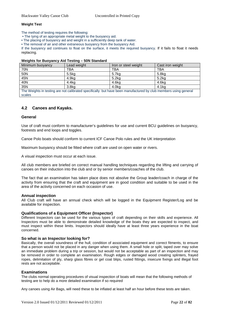### **Weight Test**

The method of testing requires the following:

• The tying of an appropriate metal weight to the buoyancy aid.

• The placing of buoyancy aid and weight in a sufficiently deep tank of water.

• The removal of air and other extraneous buoyancy from the buoyancy Aid.

If the buoyancy aid continues to float on the surface, it meets the required buoyancy. If it fails to float it needs replacing.

#### **Weights for Buoyancy Aid Testing – 50N Standard**

| Minimum buoyancy                                                                                                | Lead weight       | Iron or steel weight | Cast iron weight  |  |
|-----------------------------------------------------------------------------------------------------------------|-------------------|----------------------|-------------------|--|
| 70N                                                                                                             | TBA               | <b>TBA</b>           | <b>TBA</b>        |  |
| 50N                                                                                                             | 5.5 <sub>kq</sub> | 5.7 <sub>kg</sub>    | 5.8 <sub>kg</sub> |  |
| 45N                                                                                                             | 4.9kg             | 5.2 <sub>kq</sub>    | 5.2 <sub>kq</sub> |  |
| 40N                                                                                                             | 4.4kg             | 4.6kg                | 4.6kg             |  |
| 35N                                                                                                             | 3.8 <sub>k</sub>  | 4.0kg                | 4.1kg             |  |
| The Weights in testing are not calibrated specifically but have been manufactured by club members using general |                   |                      |                   |  |
| scales                                                                                                          |                   |                      |                   |  |

# <span id="page-21-0"></span>**4.2 Canoes and Kayaks.**

### **General**

Use of craft must conform to manufacturer's guidelines for use and current BCU guidelines on buoyancy, footrests and end loops and toggles.

Canoe Polo boats should conform to current ICF Canoe Polo rules and the UK interpretation

Maximum buoyancy should be fitted where craft are used on open water or rivers.

A visual inspection must occur at each issue.

All club members are briefed on correct manual handling techniques regarding the lifting and carrying of canoes on their induction into the club and or by senior members/coaches of the club.

The fact that an examination has taken place does not absolve the Group leader/coach in charge of the activity from ensuring that the craft and equipment are in good condition and suitable to be used in the area of the activity concerned on each occasion of use.

#### **Annual inspection**

All Club craft will have an annual check which will be logged in the Equipment Register/Log and be available for inspection.

#### **Qualifications of a Equipment Officer (Inspector)**

Different Inspectors can be used for the various types of craft depending on their skills and experience. All Inspectors must be able to demonstrate detailed knowledge of the boats they are expected to inspect, and must inspect within these limits. Inspectors should ideally have at least three years experience in the boat concerned.

#### **So what is an Inspector looking for?**

Basically, the overall soundness of the hull, condition of associated equipment and correct fitments, to ensure that a person would not be placed in any danger when using them. A small hole or split, taped over may solve an immediate problem during a trip or session, but would not be acceptable as part of an inspection and may be removed in order to complete an examination. Rough edges or damaged wood creating splinters, frayed ropes, delimitation of ply, sharp glass fibres or gel coat blips, rusted fittings, insecure fixings and illegal foot rests are not acceptable.

#### **Examinations**

The clubs normal operating procedures of visual inspection of boats will mean that the following methods of testing are to help do a more detailed examination if so required

Any canoes using Air Bags, will need these to be inflated at least half an hour before these tests are taken.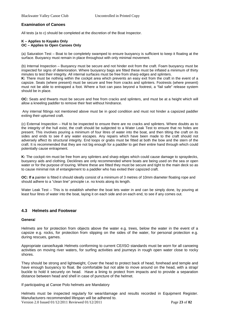### **Examination of Canoes**

All tests (a to c) should be completed at the discretion of the Boat Inspector.

#### **K – Applies to Kayaks Only OC – Applies to Open Canoes Only**

(a) Saturation Test – Boat to be completely swamped to ensure buoyancy is sufficient to keep it floating at the surface. Buoyancy must remain in place throughout with only minimal movement.

(b) Internal Inspection – Buoyancy must be secure and not hinder exit from the craft. Foam buoyancy must be inspected for signs of deterioration. Where buoyancy bags are fitted these must be inflated a minimum of thirty minutes to test their integrity. All internal surfaces must be free from sharp edges and splinters.

**K:** There must be nothing within the cockpit area which prevents an easy exit from the craft in the event of a capsize. Seats (where present) must be secure and free from cracks and splinters. Footrests (where present) must not be able to entrapped a foot. Where a foot can pass beyond a footrest, a "fail safe" release system should be in place.

**OC:** Seats and thwarts must be secure and free from cracks and splinters, and must be at a height which will allow a kneeling paddler to remove their feet without hindrance.

Any internal fittings not mentioned above must be in good condition and must not hinder a capsized paddler exiting their upturned craft.

(c) External Inspection – Hull to be inspected to ensure there are no cracks and splinters. Where doubts as to the integrity of the hull exist, the craft should be subjected to a Water Leak Test to ensure that no holes are present. This involves pouring a minimum of four litres of water into the boat, and then tilting the craft on its sides and ends to see if any water escapes. Any repairs which have been made to the craft should not adversely affect its structural integrity. End loops or grabs must be fitted at both the bow and the stern of the craft. It is recommended that they are not big enough for a paddler to get their entire hand through which could potentially cause entrapment.

**K:** The cockpit rim must be free from any splinters and sharp edges which could cause damage to spraydecks, buoyancy aids and clothing. Decklines are only recommended where boats are being used on the sea or open water or for the purpose of touring. Where these are fitted they must be secure and tight to the main deck so as to cause minimal risk of entanglement to a paddler who has exited their capsized craft.

**OC: If a** painter is fitted it should ideally consist of a minimum of 3 metres of 10mm diameter floating rope and should adhere to a "clean line" principle i.e. no knots along its length.

Water Leak Test – This is to establish whether the boat lets water in and can be simply done, by pouring at least four litres of water into the boat, laying it on each side and on each end, to see if any comes out.

### <span id="page-22-0"></span>**4.3 Helmets and Footwear**

#### **Genera**l

Helmets are for protection from objects above the water e.g. trees, below the water in the event of a capsize e.g. rocks, for protection from slipping on the sides of the water, for personal protection e.g. during rescues, games.

Appropriate canoe/kayak Helmets conforming to current CE/ISO standards must be worn for all canoeing activities on moving river waters, for surfing activities and journeys in rough open water close to rocky shores.

They should be strong and lightweight, Cover the head to protect back of head, forehead and temple and have enough buoyancy to float. Be comfortable but not able to move around on the head, with a strap/ buckle to hold it securely on head. Have a lining to protect from impacts and to provide a separation distance between head and shell in case of puncture of the helmet.

If participating at Canoe Polo helmets are Mandatory

Version 2.0 Issued 01/12/2011 Reviewed 01/12/2011 Page **23** of **82** Helmets must be inspected regularly for wear/damage and results recorded in Equipment Register. Manufacturers recommended lifespan will be adhered to.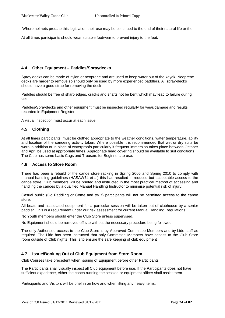Where helmets predate this legislation their use may be continued to the end of their natural life or the

At all times participants should wear suitable footwear to prevent injury to the feet.

# <span id="page-23-0"></span>**4.4 Other Equipment – Paddles/Spraydecks**

Spray decks can be made of nylon or neoprene and are used to keep water out of the kayak. Neoprene decks are harder to remove so should only be used by more experienced paddlers. All spray-decks should have a good strap for removing the deck

Paddles should be free of sharp edges, cracks and shafts not be bent which may lead to failure during use.

Paddles/Spraydecks and other equipment must be inspected regularly for wear/damage and results recorded in Equipment Register.

A visual inspection must occur at each issue.

# <span id="page-23-1"></span>**4.5 Clothing**

At all times participants' must be clothed appropriate to the weather conditions, water temperature, ability and location of the canoeing activity taken. Where possible it is recommended that wet or dry suits be worn in addition or in place of waterproofs particularly if frequent immersion takes place between October and April be used at appropriate times. Appropriate head covering should be available to suit conditions The Club has some basic Cags and Trousers for Beginners to use.

### <span id="page-23-2"></span>**4.6 Access to Store Room**

There has been a rebuild of the canoe store racking in Spring 2006 and Spring 2010 to comply with manual handling guidelines (HASAW74 et al) this has resulted in reduced but acceptable access to the canoe store. Club members will be briefed and instructed in the most practical method of accessing and handling the canoes by a qualified Manual Handling Instructor to minimise potential risk of injury.

Casual public (Go Paddling or Come and try it) participants will not be permitted access to the canoe store.

All boats and associated equipment for a particular session will be taken out of clubhouse by a senior paddler. This is a requirement under our risk assessment for current Manual Handling Regulations

No Youth members should enter the Club Store unless supervised.

No Equipment should be removed off site without the necessary procedure being followed.

The only Authorised access to the Club Store is by Approved Committee Members and by Lido staff as required. The Lido has been instructed that only Committee Members have access to the Club Store room outside of Club nights. This is to ensure the safe keeping of club equipment

### <span id="page-23-3"></span>**4.7 Issue/Booking Out of Club Equipment from Store Room**

Club Courses take precedent when issuing of Equipment before other Participants

The Participants shall visually inspect all Club equipment before use. If the Participants does not have sufficient experience, either the coach running the session or equipment officer shall assist them.

Participants and Visitors will be brief in on how and when lifting any heavy items.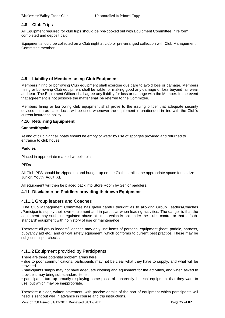# <span id="page-24-0"></span>**4.8 Club Trips**

All Equipment required for club trips should be pre-booked out with Equipment Committee, hire form completed and deposit paid.

Equipment should be collected on a Club night at Lido or pre-arranged collection with Club Management Committee member

# <span id="page-24-1"></span>**4.9 Liability of Members using Club Equipment**

Members hiring or borrowing Club equipment shall exercise due care to avoid loss or damage. Members hiring or borrowing Club equipment shall be liable for making good any damage or loss beyond fair wear and tear. The Equipment Officer shall agree any liability for loss or damage with the Member. In the event that agreement is not possible the matter shall be referred to the Committee.

Members hiring or borrowing club equipment shall prove to the issuing officer that adequate security devices such as cable locks will be used whenever the equipment is unattended in line with the Club's current insurance policy

# <span id="page-24-2"></span>**4.10 Returning Equipment**

### **Canoes/Kayaks**

At end of club night all boats should be empty of water by use of sponges provided and returned to entrance to club house.

### **Paddles**

Placed in appropriate marked wheelie bin

### **PFDs**

All Club PFS should be zipped up and hunger up on the Clothes rail in the appropriate space for its size Junior, Youth, Adult, XL

All equipment will then be placed back into Store Room by Senior paddlers,

### <span id="page-24-4"></span><span id="page-24-3"></span>**4.11 Disclaimer on Paddlers providing their own Equipment**

### 4.11.1 Group leaders and Coaches

The Club Management Committee has given careful thought as to allowing Group Leaders/Coaches /Participants supply their own equipment and in particular when leading activities. The danger is that the equipment may suffer unregulated abuse at times which is not under the clubs control or that is 'substandard' equipment with no history of use or maintenance

Therefore all group leaders/Coaches may only use items of personal equipment (boat, paddle, harness, buoyancy aid etc.) and critical safety equipment' which conforms to current best practice. These may be subject to 'spot-checks'

# <span id="page-24-5"></span>4.11.2 Equipment provided by Participants

There are three potential problem areas here:

• due to poor communications, participants may not be clear what they have to supply, and what will be provided.

• participants simply may not have adequate clothing and equipment for the activities, and when asked to provide it may bring sub-standard items.

• participants turn up proudly displaying some piece of apparently 'hi-tech' equipment that they want to use, but which may be inappropriate.

Therefore a clear, written statement, with precise details of the sort of equipment which participants will need is sent out well in advance in course and trip instructions.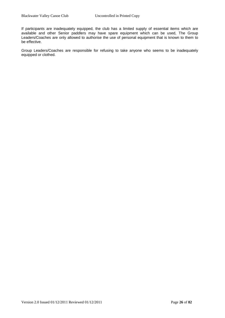If participants are inadequately equipped, the club has a limited supply of essential items which are available and other Senior paddlers may have spare equipment which can be used, The Group Leaders/Coaches are only allowed to authorise the use of personal equipment that is known to them to be effective.

Group Leaders/Coaches are responsible for refusing to take anyone who seems to be inadequately equipped or clothed.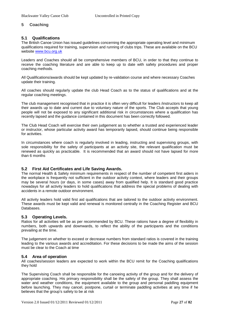# <span id="page-26-0"></span>**5 Coaching**

# <span id="page-26-1"></span>**5.1 Qualifications**

The British Canoe Union has issued guidelines concerning the appropriate operating level and minimum qualifications required for training, supervision and running of clubs trips. These are available on the BCU website [www.bcu.org.uk](http://www.bcu.org.uk/)

Leaders and Coaches should all be comprehensive members of BCU, in order to that they continue to receive the coaching literature and are able to keep up to date with safety procedures and proper coaching methods.

All Qualifications/awards should be kept updated by re-validation course and where necessary Coaches update their training.

All coaches should regularly update the club Head Coach as to the status of qualifications and at the regular coaching meetings.

The club management recognised that in practice it is often very difficult for leaders /instructors to keep all their awards up to date and current due to voluntary nature of the sports. The Club accepts that young people will not be exposed to any significant additional risk in circumstances where a qualification has recently lapsed and the guidance contained in this document has been correctly followed.

The Club Head Coach will exercise their own judgement as to whether a trusted and experienced leader or instructor, whose particular activity award has temporarily lapsed, should continue being responsible for activities.

In circumstances where coach is regularly involved in leading, instructing and supervising groups, with sole responsibility for the safety of participants at an activity site, the relevant qualification must be renewed as quickly as practicable. It is recommended that an award should not have lapsed for more than 6 months

### <span id="page-26-2"></span>**5.2 First Aid Certificates and Life Saving Awards.**

The normal Health & Safety minimum requirements in respect of the number of competent first aiders in the workplace is frequently not sufficient in the outdoor activity context, where leaders and their groups may be several hours (or days, in some cases) away from qualified help. It is standard good practice nowadays for all activity leaders to hold qualifications that address the special problems of dealing with accidents in a remote outdoor environment.

All activity leaders hold valid first aid qualifications that are tailored to the outdoor activity environment. These awards must be kept valid and renewal is monitored centrally in the Coaching Register and BCU Databases.

### <span id="page-26-3"></span>**5.3 Operating Levels.**

Ratios for all activities will be as per recommended by BCU. These rations have a degree of flexibility in numbers, both upwards and downwards, to reflect the ability of the participants and the conditions prevailing at the time.

The judgement on whether to exceed or decrease numbers from standard ratios is covered in the training leading to the various awards and accreditation. For these decisions to be made the aims of the session must be clear to the Coach at time

### <span id="page-26-4"></span>**5.4 Area of operation**

All coaches/session leaders are expected to work within the BCU remit for the Coaching qualifications they hold

The Supervising Coach shall be responsible for the canoeing activity of the group and for the delivery of appropriate coaching. His primary responsibility shall be the safety of the group. They shall assess the water and weather conditions, the equipment available to the group and personal paddling equipment before launching. They may cancel, postpone, curtail or terminate paddling activities at any time if he believes that the group's safety to be at risk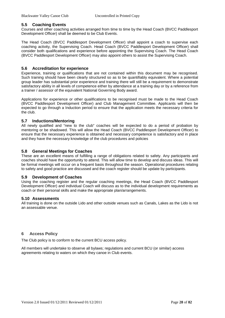# <span id="page-27-0"></span>**5.5 Coaching Events**

Courses and other coaching activities arranged from time to time by the Head Coach (BVCC Paddlesport Development Officer) shall be deemed to be Club Events.

The Head Coach (BVCC Paddlesport Development Officer) shall appoint a coach to supervise each coaching activity, the Supervising Coach. Head Coach (BVCC Paddlesport Development Officer) shall consider both qualifications and experience before appointing the Supervising Coach. The Head Coach (BVCC Paddlesport Development Officer) may also appoint others to assist the Supervising Coach.

# <span id="page-27-1"></span>**5.6 Accreditation for experience**

Experience, training or qualifications that are not contained within this document may be recognised. Such training should have been clearly structured so as to be quantifiably equivalent. Where a potential group leader has substantial prior experience and training there will still be a requirement to demonstrate satisfactory ability in all levels of competence either by attendance at a training day or by a reference from a trainer / assessor of the equivalent National Governing Body award.

Applications for experience or other qualifications to be recognised must be made to the Head Coach (BVCC Paddlesport Development Officer) and Club Management Committee. Applicants will then be expected to go through a Induction period to ensure that the application meets the necessary criteria for the club.

# <span id="page-27-2"></span>**5.7 Inductions/Mentoring**

All newly qualified and "new to the club" coaches will be expected to do a period of probation by mentoring or be shadowed. This will allow the Head Coach (BVCC Paddlesport Development Officer) to ensure that the necessary experience is obtained and necessary competence is satisfactory and in place and they have the necessary knowledge of the club procedures and policies

# <span id="page-27-3"></span>**5.8 General Meetings for Coaches**

These are an excellent means of fulfilling a range of obligations related to safety. Any participants and coaches should have the opportunity to attend. This will allow time to develop and discuss ideas. This will be formal meetings will occur on a frequent basis throughout the season. Operational procedures relating to safety and good practice are discussed and the coach register should be update by participants.

### <span id="page-27-4"></span>**5.9 Development of Coaches**

Using the coaching register and the regular coaching meetings, the Head Coach (BVCC Paddlesport Development Officer) and individual Coach will discuss as to the individual development requirements as coach or their personal skills and make the appropriate plan/arrangements.

### <span id="page-27-5"></span>**5.10 Assessments**

All training is done on the outside Lido and other outside venues such as Canals, Lakes as the Lido is not an assessable venue.

### <span id="page-27-6"></span>**6 Access Policy**

The Club policy is to conform to the current BCU access policy.

All members will undertake to observe all bylaws; regulations and current BCU (or similar) access agreements relating to waters on which they canoe in Club events.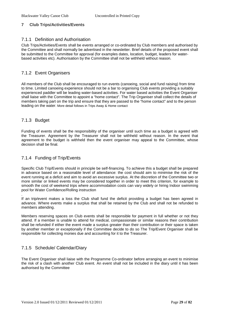# <span id="page-28-0"></span>**7 Club Trips/Activities/Events**

### <span id="page-28-1"></span>7.1.1 Definition and Authorisation

Club Trips/Activities/Events shall be events arranged or co-ordinated by Club members and authorised by the Committee and shall normally be advertised in the newsletter. Brief details of the proposed event shall be submitted to the Committee for approval (for examples dates, location, budget, leaders for waterbased activities etc). Authorisation by the Committee shall not be withheld without reason.

# <span id="page-28-2"></span>7.1.2 Event Organisers

All members of the Club shall be encouraged to run events (canoeing, social and fund raising) from time to time. Limited canoeing experience should not be a bar to organising Club events providing a suitably experienced paddler will be leading water-based activities. For water based activities the Event Organiser shall liaise with the Committee to appoint a "home contact". The Trip Organiser shall collect the details of members taking part on the trip and ensure that they are passed to the "home contact" and to the person leading on the water. More detail follows in Trips Away & Home contact

# <span id="page-28-3"></span>7.1.3 Budget

Funding of events shall be the responsibility of the organiser until such time as a budget is agreed with the Treasurer. Agreement by the Treasurer shall not be withheld without reason. In the event that agreement to the budget is withheld then the event organiser may appeal to the Committee, whose decision shall be final.

# <span id="page-28-4"></span>7.1.4 Funding of Trip/Events

Specific Club Trip/Events should in principle be self-financing. To achieve this a budget shall be prepared in advance based on a reasonable level of attendance: the cost should aim to minimise the risk of the event running at a deficit and aim to avoid an excessive surplus. At the discretion of the Committee two or more similar or linked events may be considered together in order to meet this criterion, for example to smooth the cost of weekend trips where accommodation costs can vary widely or hiring Indoor swimming pool for Water Confidence/Rolling instruction

. If an trip/event makes a loss the Club shall fund the deficit providing a budget has been agreed in advance. Where events make a surplus that shall be retained by the Club and shall not be refunded to members attending.

Members reserving spaces on Club events shall be responsible for payment in full whether or not they attend. If a member is unable to attend for medical, compassionate or similar reasons their contribution shall be refunded if either the event made a surplus greater than their contribution or their space is taken by another member or exceptionally if the Committee decide to do so The Trip/Event Organiser shall be responsible for collecting monies due and accounting for it to the Treasurer.

# <span id="page-28-5"></span>7.1.5 Schedule/ Calendar/Diary

The Event Organiser shall liaise with the Programme Co-ordinator before arranging an event to minimise the risk of a clash with another Club event. An event shall not be included in the diary until it has been authorised by the Committee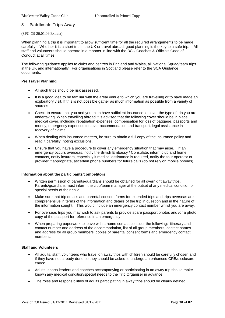# <span id="page-29-0"></span>**8 Paddlesafe Trips Away**

### (SPC-G9 20.01.09 Extract)

When planning a trip it is important to allow sufficient time for all the required arrangements to be made carefully. Whether it is a short trip in the UK or travel abroad, good planning is the key to a safe trip. All staff and volunteers should operate in a manner in line with the BCU Coaches & Officials Code of Conduct at all times.

The following guidance applies to clubs and centres in England and Wales, all National Squad/team trips in the UK and internationally. For organisations in Scotland please refer to the SCA Guidance documents.

### **Pre Travel Planning**

- All such trips should be risk assessed.
- It is a good idea to be familiar with the area/ venue to which you are travelling or to have made an exploratory visit. If this is not possible gather as much information as possible from a variety of sources.
- Check to ensure that you and your club have sufficient insurance to cover the type of trip you are undertaking. When travelling abroad it is advised that the following cover should be in place: medical cover, including repatriation expenses, compensation for loss of baggage, passports and money, emergency expenses to cover accommodation and transport, legal assistance in recovery of claims.
- When dealing with insurance matters, be sure to obtain a full copy of the insurance policy and read it carefully, noting exclusions.
- Ensure that you have a procedure to cover any emergency situation that may arise. If an emergency occurs overseas, notify the British Embassy / Consulate, inform club and home contacts, notify insurers, especially if medical assistance is required, notify the tour operator or provider if appropriate, ascertain phone numbers for future calls (do not rely on mobile phones).

### **Information about the participants/competitors**

- Written permission of parents/guardians should be obtained for all overnight away trips. Parents/guardians must inform the club/team manager at the outset of any medical condition or special needs of their child.
- Make sure that trip details and parental consent forms for extended trips and trips overseas are comprehensive in terms of the information and details of the trip in question and in the nature of the information sought. This would include an emergency contact number whilst you are away.
- For overseas trips you may wish to ask parents to provide spare passport photos and /or a photo copy of the passport for reference in an emergency.
- When preparing paperwork to leave with a home contact consider the following: itinerary and contact number and address of the accommodation, list of all group members, contact names and address for all group members, copies of parental consent forms and emergency contact numbers.

### **Staff and Volunteers**

- All adults, staff, volunteers who travel on away trips with children should be carefully chosen and if they have not already done so they should be asked to undergo an enhanced CRB/disclosure check.
- Adults, sports leaders and coaches accompanying or participating in an away trip should make known any medical condition/special needs to the Trip Organiser in advance.
- The roles and responsibilities of adults participating in away trips should be clearly defined.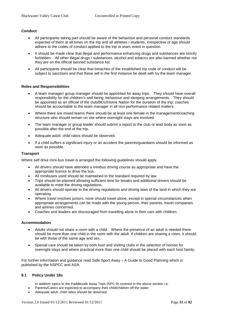### **Conduct**

- All participants taking part should be aware of the behaviour and personal conduct standards expected of them at all times on the trip and all athletes / students, irrespective of age should adhere to the codes of conduct applied to the trip or team event in question.
- It should be made clear that illegal and performance enhancing drugs and substances are strictly forbidden. All other illegal drugs / substances, alcohol and tobacco are also banned whether not they are on the official banned substance list.
- All participants should be clear that breaches of the established trip code of conduct will be subject to sanctions and that these will in the first instance be dealt with by the team manager.

### **Roles and Responsibilities**

- A team manager/ group manager should be appointed for away trips. They should have overall responsibility for the children's well being, behaviour and sleeping arrangements. They should be appointed as an official of the club/BCU/Home Nation for the duration of the trip; coaches should be accountable to the team manager in all non-performance related matters.
- Where there are mixed teams there should be at least one female in the management/coaching structure who should remain on site where overnight stays are involved.
- The team manager or group leader should submit a report to the club or lead body as soon as possible after the end of the trip.
- Adequate adult: child ratios should be observed.
- If a child suffers a significant injury or an accident the parents/guardians should be informed as soon as possible.

### **Transport**

Where self drive mini-bus travel is arranged the following guidelines should apply.

- All drivers should have attended a minibus driving course as appropriate and have the appropriate licence to drive the bus.
- All minibuses used should be maintained to the standard required by law
- Trips should be planned allowing sufficient time for breaks and additional drivers should be available to meet the driving regulations.
- All drivers should operate to the driving regulations and driving laws of the land in which they are operating
- Where travel involves juniors, none should travel alone, except in special circumstances when appropriate arrangements can be made with the young person, their parents, travel companies and airlines concerned.
- Coaches and leaders are discouraged from travelling alone in their cars with children.

#### **Accommodation**

- Adults should not share a room with a child. Where the presence of an adult is needed there should be more than one child in the room with the adult. If children are sharing a room, it should be with those of the same age and sex.
- Special care should be taken by both host and visiting clubs in the selection of homes for overnight stays and where practical more than one child should be placed with each host family.

For further information and guidance read Safe Sport Away – A Guide to Good Planning which is published by the NSPCC and ASA.

#### <span id="page-30-0"></span>**8.1 Policy Under 18s**

In addition topics to the Paddlesafe Away Trips (SPC-9) covered in the above section i.e.

- Parents/Carers are expected to accompany their child/children off the water.
- Adequate adult: child ratios should be observed.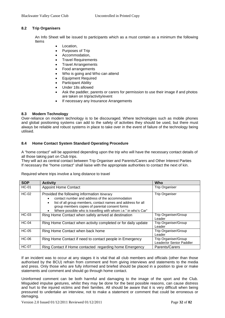# <span id="page-31-0"></span>**8.2 Trip Organisers**

An Info Sheet will be issued to participants which as a must contain as a minimum the following Items

- Location,
- Purposes of Trip
- Accommodation,
- Travel Requirements
- Travel Arrangements
- Food arrangements
- Who is going and Who can attend
- Equipment Required
- Participant Ability
- Under 18s allowed
- Ask the paddler, parents or carers for permission to use their image if and photos are taken on trip/activity/event
- If necessary any Insurance Arrangements

### <span id="page-31-1"></span>**8.3 Modern Technology**

Over-reliance on modern technology is to be discouraged. Where technologies such as mobile phones and global positioning systems can add to the safety of activities they should be used, but there must always be reliable and robust systems in place to take over in the event of failure of the technology being utilised.

### <span id="page-31-2"></span>**8.4 Home Contact System Standard Operating Procedure**

A "home contact" will be appointed depending upon the trip who will have the necessary contact details of all those taking part on Club trips.

They will act as central contact between Trip Organiser and Parents/Carers and Other Interest Parties If necessary the "home contact" shall liaise with the appropriate authorities to contact the next of kin.

Required where trips involve a long distance to travel

| <b>SOP</b>   | <b>Activity</b>                                                                                                                                                                                                                                                                                  | Who                                              |
|--------------|--------------------------------------------------------------------------------------------------------------------------------------------------------------------------------------------------------------------------------------------------------------------------------------------------|--------------------------------------------------|
| <b>HC-01</b> | <b>Appoint Home Contact</b>                                                                                                                                                                                                                                                                      | <b>Trip Organiser</b>                            |
| $HC-02$      | Provided the following information Itinerary<br>contact number and address of the accommodation<br>list of all group members, contact names and address for all<br>$\bullet$<br>group members copies of parental consent forms<br>Where possible who is travelling with whom i.e." in who's Car" | <b>Trip Organiser</b>                            |
| HC-03        | Ring Home Contact when safely arrived at destination                                                                                                                                                                                                                                             | Trip Organiser/Group<br>Leader                   |
| $HC-04$      | Ring Home Contact when activity completed or for daily update                                                                                                                                                                                                                                    | Trip Organiser/Group<br>Leader                   |
| $HC-05$      | Ring Home Contact when back home                                                                                                                                                                                                                                                                 | Trip Organiser/Group<br>Leader                   |
| <b>HC-06</b> | Ring Home Contact if need to contact people in Emergency                                                                                                                                                                                                                                         | Trip Organiser/Group<br>Leader/or Senior Paddler |
| <b>HC-07</b> | Ring Contact if Home contacted regarding home Emergency                                                                                                                                                                                                                                          | Parents/Carers                                   |

If an incident was to occur at any stages it is vital that all club members and officials (other than those authorised by the BCU) refrain from comment and from giving interviews and statements to the media and press. Only those who are fully informed and briefed should be placed in a position to give or make statements and comment and should go through home contact.

Uninformed comment can be both harmful and damaging to the image of the sport and the Club. Misguided impulse gestures, whilst they may be done for the best possible reasons, can cause distress and hurt to the injured victims and their families. All should be aware that it is very difficult when being pressured to undertake an interview, not to make a statement or comment that could be erroneous or damaging.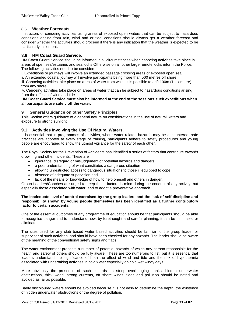# <span id="page-32-0"></span>**8.5 Weather Forecasts.**

Instructors of canoeing activities using areas of exposed open waters that can be subject to hazardous conditions arising from rain, wind and or tidal conditions should always get a weather forecast and consider whether the activities should proceed if there is any indication that the weather is expected to be particularly inclement.

# <span id="page-32-1"></span>**8.6 HM Coast Guard Service.**

HM Coast Guard Service should be informed in all circumstances when canoeing activities take place in areas of open sea/estuaries and sea lochs Otherwise on all other large remote locks inform the Police. The following activities need to be considered

i. Expeditions or journeys will involve an extended passage crossing areas of exposed open sea.

ii. An extended coastal journey will involve participants being more than 500 metres off shore.

iii. Canoeing activities take place on areas of water from which it is possible to drift 100m (1 kilometre) from any shore;

iv. Canoeing activities take place on areas of water that can be subject to hazardous conditions arising from the effects of wind and tide.

**HM Coast Guard Service must also be informed at the end of the sessions such expeditions when all participants are safely off the water.**

### <span id="page-32-2"></span>**9 General Guidance on other Safety Principles**

This Section offers guidance of a general nature on considerations in the use of natural waters and exposure to strong sunlight

### <span id="page-32-3"></span>**9.1 Activities Involving the Use Of Natural Waters.**

It is essential that in programmes of activities, where water related hazards may be encountered, safe practices are adopted at every stage of training, participants adhere to safety procedures and young people are encouraged to show the utmost vigilance for the safety of each other.

The Royal Society for the Prevention of Accidents has identified a series of factors that contribute towards drowning and other incidents. These are

- ignorance, disregard or misjudgement of potential hazards and dangers
- a poor understanding of what constitutes a dangerous situation
- allowing unrestricted access to dangerous situations to those ill equipped to cope
- absence of adequate supervision and
- lack of the means or knowledge of how to help oneself and others in danger.

Group Leaders/Coaches are urged to keep these factors in mind during the conduct of any activity, but especially those associated with water, and to adopt a preventative approach.

### **The inadequate level of control exercised by the group leaders and the lack of self-discipline and responsibility shown by young people themselves has been identified as a further contributory factor to certain accidents.**

One of the essential outcomes of any programme of education should be that participants should be able to recognise danger and to understand how, by forethought and careful planning, it can be minimised or eliminated.

The sites used for any club based water based activities should be familiar to the group leader or supervisor of such activities, and should have been checked for any hazards. The leader should be aware of the meaning of the conventional safety signs and flags.

The water environment presents a number of potential hazards of which any person responsible for the health and safety of others should be fully aware. These are too numerous to list, but it is essential that leaders understand the significance of both the effect of wind and tide and the risk of hypothermia associated with undertaking activities in cold water especially on cold wet windy days.

More obviously the presence of such hazards as steep overhanging banks, hidden underwater obstructions, thick weed, strong currents, off shore winds, tides and pollution should be noted and avoided as far as possible.

Badly discoloured waters should be avoided because it is not easy to determine the depth, the existence of hidden underwater obstructions or the degree of pollution.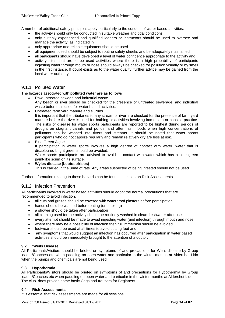A number of additional safety principles apply particularly to the conduct of water based activities:-

- the activity should only be conducted in suitable weather and tidal conditions
- only suitably experienced and qualified leaders or instructors should be used to oversee and manage the activity, as indicated in
- only appropriate and reliable equipment should be used
- all equipment used should be subject to routine safety cheeks and be adequately maintained
- all participants should have developed a level of water confidence appropriate to the activity and
- activity sites that are to be used activities where there is a high probability of participants ingesting water through mouth or nose should always be checked for pollution visually or by smell in the first instance. If doubt exists as to the water quality, further advice may be gained from the local water authority.

# <span id="page-33-0"></span>9.1.1 Polluted Water

#### The hazards associated with **polluted water are as follows**

- Raw untreated sewage and industrial waste. Any beach or river should be checked for the presence of untreated sewerage, and industrial waste before it is used for water based activities.
- Untreated farm yard manure and slurries. It is important that the tributaries to any stream or river are checked for the presence of farm yard manure before the river is used for bathing or activities involving immersion or capsize practice. The risks of disease for water sports participants are reported to be highest during periods of drought on stagnant canals and ponds, and after flash floods when high concentrations of pollutants can be washed into rivers and streams. It should be noted that water sports participants who do not capsize regularly and remain relatively dry are less at risk.
- Blue Green Algae. If participation in water sports involves a high degree of contact with water, water that is discoloured bright green should be avoided. Water sports participants are advised to avoid all contact with water which has a blue green paint-like scum on its surface.
- **Wyles disease (Leptospirisos)** This is carried in the urine of rats. Any areas suspected of being infested should not be used.

<span id="page-33-1"></span>Further information relating to these hazards can be found in section on Risk Assessments

### 9.1.2 Infection Prevention

All participants involved in water based activities should adopt the normal precautions that are recommended to avoid infection.

- all cuts and grazes should he covered with waterproof plasters before participation;
- hands should be washed before eating (or smoking)
- a shower should be taken after participation
- all clothing used for the activity should be routinely washed in clean freshwater after use
- every attempt should be made to avoid ingesting water (and infection) through mouth and nose
- where there may be a possibility of infection then full immersion should be avoided
- footwear should be used at all times to avoid cutting feet and
- any symptoms that would suggest an infection has occurred after participation in water based activities should be immediately brought to the attention of a doctor.

### <span id="page-33-2"></span>**9.2 'Weils Disease**

All Participants/Visitors should be briefed on symptoms of and precautions for Weils disease by Group leader/Coaches etc when paddling on open water and particular in the winter months at Aldershot Lido when the pumps and chemicals are not being used.

### <span id="page-33-3"></span>**9.3 Hypothermia**

All Participants/Visitors should be briefed on symptoms of and precautions for Hypothermia by Group leader/Coaches etc when paddling on open water and particular in the winter months at Aldershot Lido. The club does provide some basic Cags and trousers for Beginners.

#### <span id="page-33-4"></span>**9.4 Risk Assessments**

It is essential that risk assessments are made for all sessions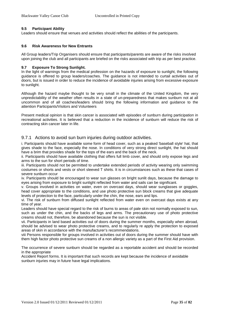# <span id="page-34-0"></span>**9.5 Participant Ability**

Leaders should ensure that venues and activities should reflect the abilities of the participants.

### <span id="page-34-1"></span>**9.6 Risk Awareness for New Entrants**

All Group leaders/Trip Organisers should ensure that participants/parents are aware of the risks involved upon joining the club and all participants are briefed on the risks associated with trip as per best practice.

### <span id="page-34-2"></span>**9.7 Exposure To Strong Sunlight.**

In the light of warnings from the medical profession on the hazards of exposure to sunlight, the following guidance is offered to group leaders/coaches. The guidance is not intended to curtail activities out of doors, but is issued in order to reduce the incidence of avoidable injuries arising from excessive exposure to sunlight.

Although the hazard maybe thought to be very small in the climate of the United Kingdom, the very unpredictability of the weather often results in a state of un-preparedness that makes sunburn not at all uncommon and of all coaches/leaders should bring the following information and guidance to the attention Participants/Visitors and Volunteers

Present medical opinion is that skin cancer is associated with episodes of sunburn during participation in recreational activities. It is believed that a reduction in the incidence of sunburn will reduce the risk of contracting skin cancer later in life.

# <span id="page-34-3"></span>9.7.1 Actions to avoid sun burn injuries during outdoor activities.

i. Participants should have available some form of head cover, such as a peaked 'baseball style' hat, that gives shade to the face, especially the nose. In conditions of very strong direct sunlight, the hat should have a brim that provides shade for the tops of the ears and the back of the neck.

ii. Participants should have available clothing that offers full limb cover, and should only expose legs and arms to the sun for short periods of time.

iii. Participants should not be permitted to undertake extended periods of activity wearing only swimming costumes or shorts and vests or short sleeved T shirts. It is in circumstances such as these that cases of severe sunburn occur

iv. Participants should be encouraged to wear sun glasses on bright sunlit days, because the damage to eyes arising from exposure to bright sunlight reflected from water and sails can be significant.

v. Groups involved in activities on water, even on overcast days, should wear sunglasses or goggles, head cover appropriate to the conditions, and use photo protective sun block creams that give adequate levels of protection to the face, particularly under the chin, the nose, ears and lips.

vi. The risk of sunburn from diffused sunlight reflected from water even on overcast days exists at any time of year.

Leaders should have special regard to the risk of burns to areas of pale skin not normally exposed to sun, such as under the chin, and the backs of legs and arms. The precautionary use of photo protective creams should not, therefore, be abandoned because the sun is not visible.

vii. Participants in land based activities out of doors during the summer months, especially when abroad, should be advised to wear photo protective creams, and to regularly re apply the protection to exposed areas of skin in accordance with the manufacturer's recommendations.

viii Persons responsible for groups involved in activities out of doors during the summer should have with them high factor photo protective sun creams of a non allergic variety as a part of the First Aid provision.

The occurrence of severe sunburn should be regarded as a reportable accident and should be recorded in the appropriate

Accident Report forms. It is important that such records are kept because the incidence of avoidable sunburn injuries may in future have legal implications.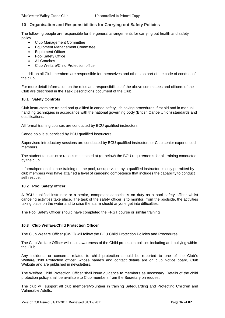# <span id="page-35-0"></span>**10 Organisation and Responsibilities for Carrying out Safety Policies**

The following people are responsible for the general arrangements for carrying out health and safety policy

- Club Management Committee
- Equipment Management Committee
- Equipment Officer
- Pool Safety Office
- All Coaches
- Club Welfare/Child Protection officer

In addition all Club members are responsible for themselves and others as part of the code of conduct of the club,

For more detail information on the roles and responsibilities of the above committees and officers of the Club are described in the Task Descriptions document of the Club.

### <span id="page-35-1"></span>**10.1 Safety Controls**

Club instructors are trained and qualified in canoe safety, life saving procedures, first aid and in manual handling techniques in accordance with the national governing body (British Canoe Union) standards and qualifications.

All formal training courses are conducted by BCU qualified instructors.

Canoe polo is supervised by BCU qualified instructors.

Supervised introductory sessions are conducted by BCU qualified instructors or Club senior experienced members.

The student to instructor ratio is maintained at (or below) the BCU requirements for all training conducted by the club.

Informal/personal canoe training on the pool, unsupervised by a qualified instructor, is only permitted by club members who have attained a level of canoeing competence that includes the capability to conduct self rescue.

#### <span id="page-35-2"></span>**10.2 Pool Safety officer**

A BCU qualified instructor or a senior, competent canoeist is on duty as a pool safety officer whilst canoeing activities take place. The task of the safety officer is to monitor, from the poolside, the activities taking place on the water and to raise the alarm should anyone get into difficulties.

The Pool Safety Officer should have completed the FRST course or similar training

#### <span id="page-35-3"></span>**10.3 Club Welfare/Child Protection Officer**

The Club Welfare Officer (CWO) will follow the BCU Child Protection Policies and Procedures

The Club Welfare Officer will raise awareness of the Child protection policies including anti-bullying within the Club.

Any incidents or concerns related to child protection should be reported to one of the Club`s Welfare/Child Protection officer, whose name's and contact details are on club Notice board, Club Website and are published in newsletters.

The Welfare Child Protection Officer shall issue guidance to members as necessary. Details of the child protection policy shall be available to Club members from the Secretary on request

The club will support all club members/volunteer in training Safeguarding and Protecting Children and Vulnerable Adults.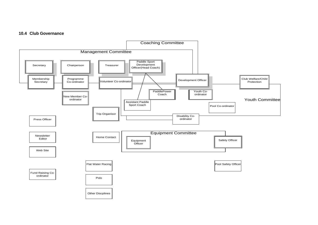# **10.4 Club Governance**

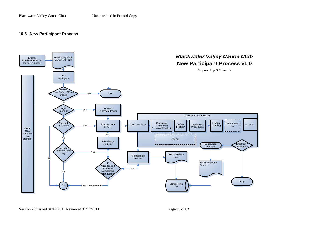# **10.5 New Participant Process**

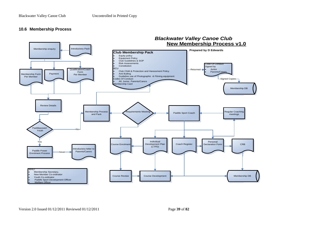# **10.6 Membership Process**

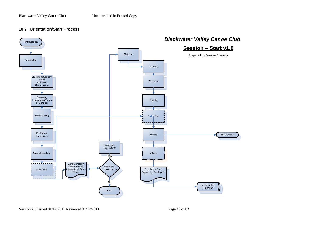### **10.7 Orientation/Start Process**



Version 2.0 Issued 01/12/2011 Reviewed 01/12/2011 Page **40** of **82**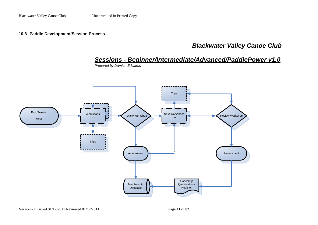**10.8 Paddle Development/Session Process**

# *Blackwater Valley Canoe Club*

*Sessions - Beginner/Intermediate/Advanced/PaddlePower v1.0*



*Prepared by Damian Edwards*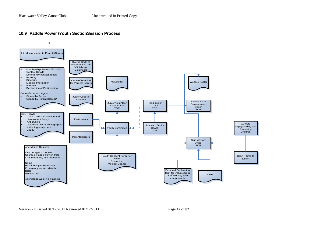# **10.9 Paddle Power /Youth SectionSession Process**

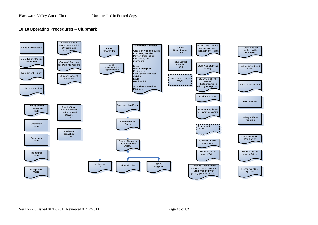## **10.10Operating Procedures – Clubmark**

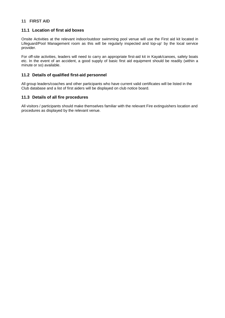# **11 FIRST AID**

# **11.1 Location of first aid boxes**

Onsite Activities at the relevant indoor/outdoor swimming pool venue will use the First aid kit located in Lifeguard/Pool Management room as this will be regularly inspected and top-up' by the local service provider.

For off-site activities, leaders will need to carry an appropriate first-aid kit in Kayak/canoes, safety boats etc. In the event of an accident, a good supply of basic first aid equipment should be readily (within a minute or so) available.

## **11.2 Details of qualified first-aid personnel**

All group leaders/coaches and other participants who have current valid certificates will be listed in the Club database and a list of first aiders will be displayed on club notice board.

# **11.3 Details of all fire procedures**

All visitors / participants should make themselves familiar with the relevant Fire extinguishers location and procedures as displayed by the relevant venue.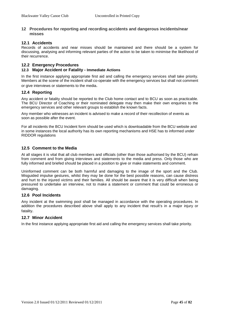#### **12 Procedures for reporting and recording accidents and dangerous incidents/near misses**

### **12.1 Accidents**

Records of accidents and near misses should be maintained and there should be a system for discussing, analysing and informing relevant parties of the action to be taken to minimise the likelihood of their recurrence.

### **12.2 Emergency Procedures**

#### **12.3 Major Accident or Fatality - Immediate Actions**

In the first instance applying appropriate first aid and calling the emergency services shall take priority. Members at the scene of the incident shall co-operate with the emergency services but shall not comment or give interviews or statements to the media.

#### **12.4 Reporting**

Any accident or fatality should be reported to the Club home contact and to BCU as soon as practicable. The BCU Director of Coaching or their nominated delegate may then make their own enquiries to the emergency services and other relevant groups to establish the known facts.

Any member who witnesses an incident is advised to make a record of their recollection of events as soon as possible after the event.

For all incidents the BCU Incident form should be used which is downloadable from the BCU website and in some instances the local authority has its own reporting mechanisms and HSE has to informed under RIDDOR regulations

### **12.5 Comment to the Media**

At all stages it is vital that all club members and officials (other than those authorised by the BCU) refrain from comment and from giving interviews and statements to the media and press. Only those who are fully informed and briefed should be placed in a position to give or make statements and comment.

Uninformed comment can be both harmful and damaging to the image of the sport and the Club. Misguided impulse gestures, whilst they may be done for the best possible reasons, can cause distress and hurt to the injured victims and their families. All should be aware that it is very difficult when being pressured to undertake an interview, not to make a statement or comment that could be erroneous or damaging.

#### **12.6 Pool Incidents**

Any incident at the swimming pool shall be managed in accordance with the operating procedures. In addition the procedures described above shall apply to any incident that result's in a major injury or fatality.

#### **12.7 Minor Accident**

In the first instance applying appropriate first aid and calling the emergency services shall take priority.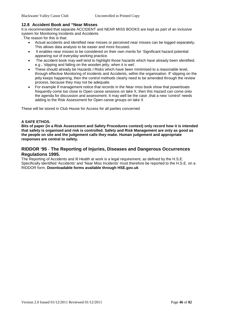### **12.8 Accident Book and "Near Misses**

It is recommended that separate ACCIDENT and NEAR MISS BOOKS are kept as part of an inclusive system for Monitoring Incidents and Accidents

. The reason for this is that:

- Actual accidents and identified near misses or perceived near misses can be logged separately**.**  This allows data analysis to be easier and more focused**.**
- It enables near misses to be considered on their own merits for 'Significant hazard potential appearing out of everyday working practice.
- The accident book may well tend to highlight those hazards which have already been identified. e.g **.** 'slipping and falling on the wooden jetty, when it is wet'.
- These should already be Hazards *I* Risks which have been minimised to a reasonable level, through effective Monitoring of incidents and Accidents, within the organisation. If' slipping on the jetty keeps happening, then the control methods clearly need to be amended through the review process, because they may not be adequate.
- For example If management notice that records in the Near miss book show that powerboats frequently come too close to Open canoe sessions on lake X, then this Hazard can come onto the agenda for discussion and assessment. It may well be the case ,that a new 'control' needs adding to the Risk Assessment for Open canoe groups on lake X

These will be stored in Club House for Access for all parties concerned

#### **A SAFE ETHOS.**

**Bits of paper (in a Risk Assessment and Safety Procedures context) only record how it is intended that safety is organised and risk is controlled. Safety and Risk Management are only as good as the people on site and the judgement calls they make. Human judgement and appropriate responses are central to safety.**

# **RIDDOR '95** - **The Reporting of Injuries, Diseases and Dangerous Occurrences Regulations 1995.**

The Reporting of Accidents and Ill Health at work is a legal requirement, as defined by the H.S.E. Specifically identified 'Accidents' and 'Near Miss Incidents' must therefore be reported to the H.S.E. on a RIDDOR form. **Downloadable forms available through HSE.gov.uk**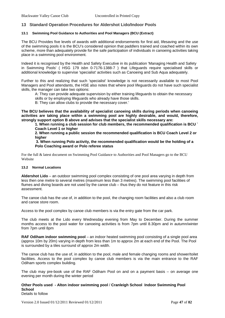#### **13 Standard Operation Procedures for Aldershot Lido/Indoor Pools**

#### **13.1 Swimming Pool Guidance to Authorities and Pool Managers (BCU (Extract)**

The BCU Provides five levels of awards with additional endorsements for first aid, lifesaving and the use of the swimming pools it is the BCU's considered opinion that paddlers trained and coached within its own scheme, more than adequately provide for the safe participation of individuals in canoeing activities taking place in a swimming pool environment.

Indeed it is recognised by the Health and Safety Executive in its publication 'Managing Health and Safety in Swimming Pools' ( HSG 179 isbn 0-7176-1388-7 ) that Lifeguards require specialised skills or additional knowledge to supervise 'specialist' activities such as Canoeing and Sub Aqua adequately.

Further to this and realizing that such 'specialist' knowledge is not necessarily available to most Pool Managers and Pool attendants, the HSE also notes that where pool lifeguards do not have such specialist skills, the manager can take two options:

A: They can provide adequate supervision by either training lifeguards to obtain the necessary skills or by employing lifeguards who already have those skills.

B: They can allow clubs to provide the necessary cover.'

**The BCU believes that the availability of specialist canoeing skills during periods when canoeing activities are taking place within a swimming pool are highly desirable, and would, therefore, strongly support option B above and advises that the specialist skills necessary are:**

**1. When running a club session for club members, the recommended qualification is BCU ` Coach Level 1 or higher**

**2. When running a public session the recommended qualification is BCU Coach Level 2 or higher**

**3. When running Polo activity, the recommended qualification would be the holding of a Polo Coaching award or Polo referee status**

For the full & latest document on Swimming Pool Guidance to Authorities and Pool Managers go to the BCU Website

#### **13.2 Normal Locations**

**Aldershot Lido** – an outdoor swimming pool complex consisting of one pool area varying in depth from less then one metre to several metres (maximum less than 3 metres). The swimming pool facilities of flumes and diving boards are not used by the canoe club – thus they do not feature in this risk assessment.

The canoe club has the use of, in addition to the pool, the changing room facilities and also a club room and canoe store room.

Access to the pool complex by canoe club members is via the entry gate from the car park.

The club meets at the Lido every Wednesday evening from May to December. During the summer months access to the pool water for canoeing activities is from 7pm until 8.30pm and in autumn/winter from 7pm until 8pm

**RAF Odiham indoor swimming pool** – an indoor heated swimming pool consisting of a single pool area (approx 10m by 20m) varying in depth from less than 1m to approx 2m at each end of the Pool. The Pool is surrounded by a tiles surround of approx 2m width.

The canoe club has the use of, in addition to the pool, male and female changing rooms and shower/toilet facilities. Access to the pool complex by canoe club members is via the main entrance to the RAF Odiham sports complex building.

The club may pre-book use of the RAF Odiham Pool on and on a payment basis – on average one evening per month during the winter period

#### **Other Pools used - Alton indoor swimming pool** / **Cranleigh School Indoor Swimming Pool School**

Details to follow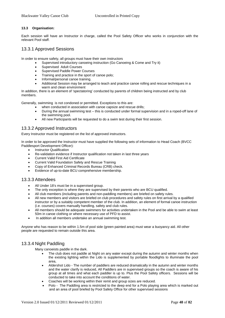#### **13.3 Organisation:**

Each session will have an Instructor in charge, called the Pool Safety Officer who works in conjunction with the relevant Pool staff.

# 13.3.1 Approved Sessions

In order to ensure safety, all groups must have their own instructors

- Supervised introductory canoeing instruction (Go Canoeing & Come and Try it)
- Supervised Adult Courses
- Supervised Paddle Power Courses
- Training and practice in the sport of canoe polo;
- Informal/personal canoe training.
- Additional Session may be arranged to teach and practice canoe rolling and rescue techniques in a warm and clean environment

In addition, there is an element of 'spectatoring' conducted by parents of children being instructed and by club members.

Generally, swimming is not condoned or permitted. Exceptions to this are:

- when conducted in association with canoe capsize and rescue drills:
- During the annual swimming test this is conducted under formal supervision and in a roped-off lane of the swimming pool.
- All new Participants will be requested to do a swim test during their first session.

# 13.3.2 Approved Instructors

Every Instructor must be registered on the list of approved instructors.

In order to be approved the Instructor must have supplied the following sets of information to Head Coach (BVCC Paddlesport Development Officer):

- **Instructor Qualification**
- Re-validation evidence if Instructor qualification not taken in last three years
- Current Valid First Aid Certificate
- Current Valid Foundation Safety and Rescue Training
- Copy of Enhanced Criminal Records Bureau (CRB) check.
- Evidence of up-to-date BCU comprehensive membership.

# 13.3.3 Attendees

- All Under 18's must be in a supervised group.
- The only exception is where they are supervised by their parents who are BCU qualified.
- All club members (including parents and non-paddling members) are briefed on safety rules.
- All new members and visitors are briefed on club procedures and safety rules on first arrival by a qualified instructor or by a suitably competent member of the club. In addition, an element of formal canoe instruction (i.e. courses) covers manually handling, safety and club rules.
- All members should be adequate swimmers for activities undertaken in the Pool and be able to swim at least 50m in canoe clothing or where necessary use of PFD to assist.
- In addition all members undertake an annual swimming test.

Anyone who has reason to be within 1.5m of pool side (green painted area) must wear a buoyancy aid. All other people are requested to remain outside this area.

#### 13.3.4 Night Paddling

Many canoeists paddle in the dark.

- The club does not paddle at Night on any water except during the autumn and winter months when the existing lighting within the Lido is supplemented by portable floodlights to illuminate the pool area,
- Aldershot Lido The number of paddlers are reduced dramatically in the autumn and winter months and the water clarify is reduced, All Paddlers are in supervised groups so the coach is aware of his group at all times and what each paddler is up to. Plus the Pool Safety officers. Sessions will be conducted to take into account the conditions of water.
- Coaches will be working within their remit and group sizes are reduced.
- Polo The Paddling area is restricted to the deep end for a Polo playing area which is marked out and an area of pool briefed by Pool Safety Office for other supervised sessions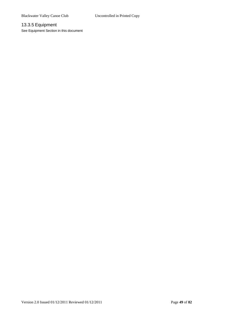# 13.3.5 Equipment

See Equipment Section in this document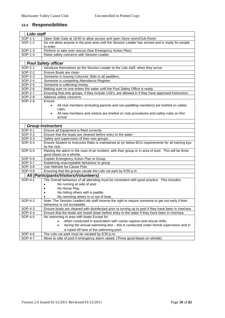# **13.4 Responsibilities:**

| Lido staff            |                                                                                                                      |
|-----------------------|----------------------------------------------------------------------------------------------------------------------|
| SOP-1-1               | Open Side Gate at 19:00 to allow access and open Store room/Club Room                                                |
| SOP-1-2               | Do not allow anyone in the pool area until the Session Leader has arrived and is ready for people                    |
|                       | to enter.                                                                                                            |
| SOP-1-3               | Perform or take over rescue (See Emergency Action Plan)                                                              |
| SOP-1-4               | Raise safety concerns with Session Leader.                                                                           |
|                       |                                                                                                                      |
|                       | <b>Pool Safety officer</b>                                                                                           |
| SOP-2-1               | Introduce themselves as the Session Leader to the Lido staff, when they arrive.                                      |
| SOP-2-2               | Ensure Boats are clean                                                                                               |
| SOP-2-3               | Someone is Issuing Coloured Bids to all paddlers,                                                                    |
| SOP-2-4               | Someone is competing Attendance Register                                                                             |
| SOP-2-5               | Someone is collecting money                                                                                          |
| SOP-2-6               | Making sure no one enters the water until the Pool Safety Office is ready.                                           |
| SOP-2-7               | Ensuring that only groups, if they include U18's, are allowed in if they have approved Instructors.                  |
| SOP-2-8               | Address safety concerns.                                                                                             |
| SOP-2-8               | Ensure                                                                                                               |
|                       | All club members (including parents and non-paddling members) are briefed on safety                                  |
|                       | rules.                                                                                                               |
|                       | All new members and visitors are briefed on club procedures and safety rules on first                                |
|                       | arrival                                                                                                              |
|                       |                                                                                                                      |
|                       | <b>Group Instructors</b>                                                                                             |
| SOP-3-1               | Ensure all Equipment is fitted correctly                                                                             |
| SOP-3-2               | Ensure that the boats are cleaned before entry to the water                                                          |
| SOP-3-3               | Safety and supervision of their own groups                                                                           |
| SOP-3-4               | Ensure Student to Instructor Ratio is maintained at (or below BCU requirements for all training byu                  |
| SOP-3-5               | by the club<br>Raising the alarm in the case of an incident, with their group or in area of pool. This will be three |
|                       | good blasts on a whistle.                                                                                            |
| SOP-3-6               | Explain Emergency Action Plan to Group                                                                               |
| SOP-3-7               | Explaining unacceptable behaviour to group                                                                           |
| SOP-3-8               | Use Helmets for Canoe Polo                                                                                           |
| SOP-3-9               | Ensuring that the groups vacate the Lido car park by 8:50 p.m                                                        |
|                       | All (Participants/Visitors/Volunteers)                                                                               |
| SOP-4-1               | The Overall behaviour of all attending must be consistent with good practice. This includes:                         |
|                       | No running at side of pool                                                                                           |
|                       | No Horse Play                                                                                                        |
|                       | No hitting others with a paddle.                                                                                     |
|                       | No ramming others in or out of boat.                                                                                 |
| $\overline{SOP}$ -4-2 | Note: The Session Leader/Lido staff reserve the right to require someone to get out early if their                   |
|                       | behaviour is not acceptable.                                                                                         |
| SOP-4-3               | Ensure boats are cleaned with disinfectant prior to turning up to pool if they have been in river/sea                |
| SOP-4-4               | Ensure that the boats are hosed down before entry to the water if they have been in river/sea.                       |
| SOP-4-5               | No swimming in area with boats Except for                                                                            |
|                       | when conducted in association with canoe capsize and rescue drills;                                                  |
|                       | during the annual swimming test - this is conducted under formal supervision and in<br>$\bullet$                     |
|                       | a roped-off lane of the swimming pool.                                                                               |
| SOP-4-6               | The Lido car park must be vacated by 8:50 p.m.                                                                       |
| SOP-4-7               | Move to side of pool if emergency alarm raised. (Three good blasts on whistle)                                       |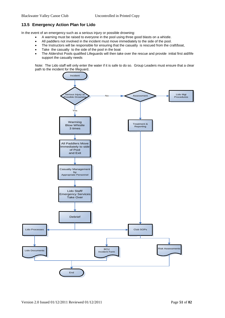# **13.5 Emergency Action Plan for Lido**

In the event of an emergency such as a serious injury or possible drowning:

- A warning must be raised to everyone in the pool using three good blasts on a whistle.
- All paddlers not involved in the incident must move immediately to the side of the pool.
- The Instructors will be responsible for ensuring that the casualty is rescued from the craft/boat,
- Take the casualty to the side of the pool in the boat
- The Aldershot Pools qualified Lifeguards will then take over the rescue and provide initial first aid/life support the casualty needs

Note: The Lido staff will only enter the water if it is safe to do so. Group Leaders must ensure that a clear path to the incident for the lifeguard.

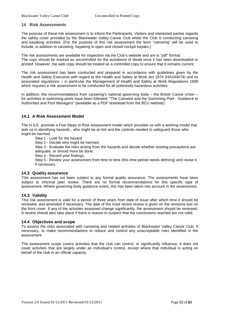### **14 Risk Assessments**

The purpose of these risk assessment is to inform the Participants, Visitors and interested parties regards the safety cover provided by the Blackwater Valley Canoe Club whilst the Club is conducting canoeing and kayaking activities. (For the purpose of this risk assessment the term "canoeing" will be used to include, in addition to canoeing, kayaking in open and closed cockpit kayaks.)

The risk assessments are available for inspection via the Club's website and are in "pdf" format. The copy should be marked as uncontrolled for the avoidance of doubt once it has been downloaded or printed. However, the web copy should be treated as a controlled copy to ensure that it remains current.

The risk assessment has been conducted and prepared in accordance with guidelines given by the Health and Safety Executive with regard to the Health and Safety at Work Act 1974 (HASAW74) and its associated regulations – in particular the Management of Health and Safety at Work Regulations 1999 which requires a risk assessment to be conducted for all potentially hazardous activities.

In addition, the recommendations from canoeing's national governing body – the British Canoe Union – for activities in swimming pools have been followed: "The Canoeist and the Swimming Pool - Guidance to Authorities and Pool Managers" (available as a PDF download from the BCU website)

# **14.1 A Risk Assessment Model**

The H.S.E. promote a Five Steps to Risk Assessment model which provides us with a working model that aids us in identifying hazards , who might be at risk and the controls needed to safeguard those who might be harmed.

Step 1 - Look for the hazard.

Step 2 - Decide who might be harmed.

Step 3 - Evaluate the risks arising from the hazards and decide whether existing precautions are adequate, or should more be done.

Step 4 - Record your findings.

Step 5 - Review your assessment from time to time (this time period needs defining) and revise it if necessary.

#### **14.2 Quality assurance**

This assessment has not been subject to any formal quality assurance. The assessments have been subject to informal peer review. There are no formal recommendations for this specific type of assessment. Where governing body guidance exists, this has been taken into account in the assessment.

#### **14.3 Validity**

This risk assessment is valid for a period of three years from date of issue after which time it should be reviewed, and amended if necessary. The date of the most recent review is given on the revisions box on the front cover. If any of the activities assessed change significantly, the assessment should be reviewed. A review should also take place if there is reason to suspect that the conclusions reached are not valid.

#### **14.4 Objectives and scope**

To assess the risks associated with canoeing and related activities of Blackwater Valley Canoe Club. If necessary, to make recommendations to reduce and control any unacceptable risks identified in the assessment

The assessment scope covers activities that the club can control, or significantly influence. It does not cover activities that are largely under an individual's control, except where that individual is acting on behalf of the club in an official capacity.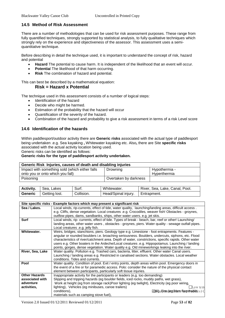# **14.5 Method of Risk Assessment**

There are a number of methodologies that can be used for risk assessment purposes. These range from fully quantified techniques, strongly supported by statistical analysis, to fully qualitative techniques which strongly rely on the experience and objectiveness of the assessor. This assessment uses a semiquantitative technique.

Before describing in detail the technique used, it is important to understand the concept of risk, hazard and potential

- **Hazard** The potential to cause harm. It is independent of the likelihood that an event will occur.
- **Potentia**l The likelihood of that harm occurring.
- **Risk** The combination of hazard and potential.

This can best be described by a mathematical equation:

### **Risk = Hazard x Potential**

The technique used in this assessment consists of a number of logical steps:

- Identification of the hazard
- Decide who might be harmed.
- Estimation of the probability that the hazard will occur
- Quantification of the severity of the hazard.
- Combination of the hazard and probability to give a risk assessment in terms of a risk Level score

### **14.6 Identification of the hazards**

Within paddlesport/outdoor activity there are **Generic risks** associated with the actual type of paddlesport being undertaken .e.g. Sea kayaking **,** Whitewater kayaking etc. Also**,** there are Site **specific risks**  associated with the actual activity location being used.

Generic risks can be identified as follows:

#### **Generic risks for the type of paddlesport activity undertaken.**

| Generic Risk Injuries, causes of death and disabling injuries |                       |                |  |  |  |  |
|---------------------------------------------------------------|-----------------------|----------------|--|--|--|--|
| Impact with something sold (which either falls                | Drowning              | Hypothermia -  |  |  |  |  |
| onto you or onto which you fall)                              |                       | l Hvperthermia |  |  |  |  |
| Poisoning                                                     | Overtaken by darkness |                |  |  |  |  |

| <b>Activity.</b> | Sea, Lakes    | Surf.      | Whitewater.         | River, Sea, Lake, Canal, Pool. |
|------------------|---------------|------------|---------------------|--------------------------------|
| <b>Generic</b>   | Getting lost. | Collision. | Head/Spinal injury. | Entrapment.                    |

|                      | Site specific risks - Example factors which may present a significant risk                           |
|----------------------|------------------------------------------------------------------------------------------------------|
| Sea / Lakes.         | Local winds, rip-currents, effect of tide, water quality, launching/landing areas, difficult access. |
|                      | e.g. Cliffs, dense vegetation. Local creatures .e.g. Crocodiles, weaver fish! Obstacles - groynes,   |
|                      | outflow pipes, dams, sandbanks, ships, other water users. e.g. jet skis.                             |
| <b>Surf</b>          | Local winds, rip- currents, effect of tide. Types of break - beach, bar, reef or other! Launching/   |
|                      | landing areas, other water users, obstacles - groynes, piers. Water quality - sewage outfall pipes.  |
|                      | Local creatures .e.g. jelly fish.                                                                    |
| Whitewater.          | Weirs, bridges, stanchions, piers. Geology type e.g. Limestone - foot entrapments. Features -        |
|                      | angular or rounded boulders i.e. broaching seriousness. Boulders, undercuts, siphons, etc. Flood     |
|                      | characteristics of river/catchment area. Depth of water, constrictions, specific rapids. Other water |
|                      | users e.g. Other boaters in the Ardeche/Local creatures .e.g. Hippopotamus. Launching / landing      |
|                      | points, gorges, dense vegetation. Water quality e.g. Old mineworkings leaking into the river.        |
| River, Sea, Lake     | Water quality. Pollution e.g. Trashed cars, bacteria, litter, effluent. Other water Canal users.     |
|                      | Launching / landing areas e.g. Restricted in canalised sections. Water obstacles. Local weather      |
|                      | conditions. Tides and currents.                                                                      |
| Pool                 | Water quality. Condition of pool. Exit / entry points, depth areas within pool. Emergency doors in   |
|                      | the event of a fire or for paramedic access. Polo: consider the nature of the physical contact       |
|                      | element between participants, particularly soft tissue injuries.                                     |
| <b>Other Hazards</b> | Inappropriate activity for the participants or leaders (e,g. too demanding)                          |
| associated with      | Slipping and tripping hazards (eg boulder fields, iced rocks, muddy paths, wet grass),               |
| adventure            | Work at height (eg from storage rack)Poor lighting (eg twilight), Electricity (eg poor wiring,       |
| activities,          | lighting), Vehicles (eg minibuses, canoe trailers)<br>Low tem                                        |
|                      | conditions).<br><b>FOBUL Forge Geral friam flam mable s G</b>                                        |
|                      | materials such as camping stove fuel),                                                               |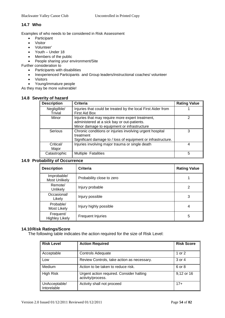## **14.7 Who**

Examples of who needs to be considered in Risk Assessment

- Participant
- Visitor
- Volunteer'
- Youth Under 18
- Members of the public
- People sharing your environment/Site

Further consideration to

- Participants with disabilities
- Inexperienced Participants and Group leaders/instructional coaches/ volunteer
- Visitors
- Young/immature people

As they may be more vulnerable!

### **14.8 Severity of hazard**

| <b>Description</b> | <b>Criteria</b>                                              | <b>Rating Value</b> |
|--------------------|--------------------------------------------------------------|---------------------|
| Negligilble/       | Injuries that could be treated by the local First Aider from |                     |
| Trivial            | First Aid Box                                                |                     |
| Minor              | Injuries that may require more expert treatment,             | 2                   |
|                    | administered at a sick bay or out-patients.                  |                     |
|                    | Minor damage to equipment or infrastructure                  |                     |
| Serious            | Chronic conditions or injuries involving urgent hospital     | 3                   |
|                    | treatment                                                    |                     |
|                    | Significant damage to / loss of equipment or infrastructure. |                     |
| Critical/          | Injuries involving major trauma or single death              | 4                   |
| Major              |                                                              |                     |
| Catastrophic       | <b>Multiple Fatalities</b>                                   | 5                   |
|                    |                                                              |                     |

# **14.9 Probability of Occurrence**

| <b>Description</b>                  | Criteria                  | <b>Rating Value</b> |
|-------------------------------------|---------------------------|---------------------|
| Improbable/<br><b>Most Unlikely</b> | Probability close to zero |                     |
| Remote/<br>Unlikely                 | Injury probable           | 2                   |
| Occasional/<br>Likely               | Injury possible           | 3                   |
| Probable/<br><b>Most Likely</b>     | Injury highly possible    | 4                   |
| Frequent/<br><b>Highley Likely</b>  | <b>Frequent Injuries</b>  | 5                   |

#### **14.10Risk Ratings/Score**

The following table indicates the action required for the size of Risk Level:

| <b>Risk Level</b>            | <b>Action Required</b>                                        | <b>Risk Score</b> |
|------------------------------|---------------------------------------------------------------|-------------------|
| Acceptable                   | <b>Controls Adequate</b>                                      | 1 or 2            |
| Low                          | Review Controls, take action as necessary.                    | 3 or 4            |
| Medium                       | Action to be taken to reduce risk.                            | 6 or 8            |
| <b>High Risk</b>             | Urgent action required. Consider halting<br>activity/process. | 9,12 or 16        |
| UnAcceptable/<br>Intorelable | Activity shall not proceed                                    | $17+$             |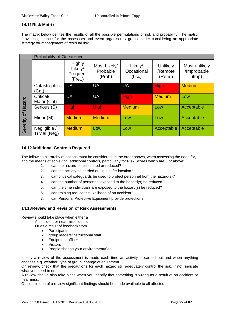# **14.11Risk Matrix**

The matrix below defines the results of all the possible permutations of risk and probability. The matrix provides guidance for the assessors and event organisers / group leader considering an appropriate strategy for management of residual risk

|                       | <b>Probability of Occurence</b> |                                                |                                    |                                |                              |                                       |
|-----------------------|---------------------------------|------------------------------------------------|------------------------------------|--------------------------------|------------------------------|---------------------------------------|
| Hazard<br>Severity of |                                 | <b>Highly</b><br>Likely/<br>Frequent<br>(Fre1) | Most Likely/<br>Probable<br>(Prob) | Likely/<br>Occasional<br>(0cc) | Unlikely<br>/Remote<br>(Rem) | Most unlikely<br>/Improbable<br> Imp) |
|                       | Catastrophic<br>Cat)            | UA                                             | UA                                 | UA                             | <b>High</b>                  | <b>Medium</b>                         |
|                       | Critical/<br>Major (Crit)       | UA                                             | <b>UA</b>                          | <b>High</b>                    | <b>Medium</b>                | Low                                   |
|                       | Serious (S)                     | <b>High</b>                                    | <b>High</b>                        | <b>Medium</b>                  | Low                          | Acceptable                            |
|                       | Minor (M)                       | <b>Medium</b>                                  | <b>Medium</b>                      | Low                            | Low                          | Acceptable                            |
|                       | Negligible /<br>Trivial (Neg)   | <b>Medium</b>                                  | Low                                | Low                            | Acceptable                   | Acceptable                            |

# **14.12Additional Controls Required**

The following hierarchy of options must be considered, in the order shown, when assessing the need for, and the means of achieving, additional controls, particularly for Risk Scores which are 6 or above:

- 1. can the hazard be eliminated or reduced?
- 2. can the activity be carried out in a safer location?
- 3. can physical safeguards be used to protect personnel from the hazard(s)?
- 4. can the number of personnel exposed to the hazard(s) be reduced?
- 5. can the time individuals are exposed to the hazard(s) be reduced?
- 6. can training reduce the likelihood of an accident?
- 7. can Personal Protective Equipment provide protection?

# **14.13Review and Revision of Risk Assessments**

Review should take place when either a

An incident or near miss occurs

Or as a result of feedback from

- Participants
- group leaders/instructional staff
- Equipment officer
- **Visitors**
- People sharing your environment/Site

Ideally a review of the assessment is made each time an activity is carried out and when anything changes e.g. weather, type of group, change of equipment.

On review, check that the precautions for each hazard still adequately control the risk. If not, indicate what you need to do.

A review should also take place when you identify that something is wrong as a result of an accident or near miss.

On completion of a review significant findings should be made available to all affected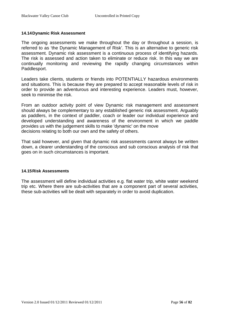# **14.14Dynamic Risk Assessment**

The ongoing assessments we make throughout the day or throughout a session, is referred to as 'the Dynamic Management of Risk'. This is an alternative to generic risk assessment. Dynamic risk assessment is a continuous process of identifying hazards. The risk is assessed and action taken to eliminate or reduce risk. In this way we are continually monitoring and reviewing the rapidly changing circumstances within Paddlesport.

Leaders take clients, students or friends into POTENTIALLY hazardous environments and situations. This is because they are prepared to accept reasonable levels of risk in order to provide an adventurous and interesting experience. Leaders must, however, seek to minimise the risk.

From an outdoor activity point of view Dynamic risk management and assessment should always be complementary to any established generic risk assessment. Arguably as paddlers, in the context of paddler, coach or leader our individual experience and developed understanding and awareness of the environment in which we paddle provides us with the judgement skills to make 'dynamic' on the move decisions relating to both our own and the safety of others.

That said however, and given that dynamic risk assessments cannot always be written down, a clearer understanding of the conscious and sub conscious analysis of risk that goes on in such circumstances is important.

# **14.15Risk Assessments**

The assessment will define individual activities e.g. flat water trip, white water weekend trip etc. Where there are sub-activities that are a component part of several activities, these sub-activities will be dealt with separately in order to avoid duplication.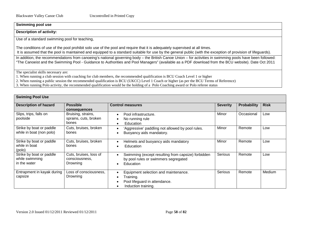## **Swimming pool use**

#### **Description of activity:**

Use of a standard swimming pool for teaching,

The conditions of use of the pool prohibit solo use of the pool and require that it is adequately supervised at all times. It is assumed that the pool is maintained and equipped to a standard suitable for use by the general public (with the exception of provision of lifeguards).

In addition, the recommendations from canoeing's national governing body – the British Canoe Union – for activities in swimming pools have been followed: "The Canoeist and the Swimming Pool - Guidance to Authorities and Pool Managers" (available as a PDF download from the BCU website). Date Oct 2011

The specialist skills necessary are:

1. When running a club session with coaching for club members, the recommended qualification is BCU Coach Level 1 or higher

2. When running a public session the recommended qualification is BCU (UKCC) Level 1 Coach or higher (as per the BCU Terms of Reference)

3. When running Polo activity, the recommended qualification would be the holding of a Polo Coaching award or Polo referee status

| <b>Swiming Pool Use</b>                                    |                                                      |                                                                                                                                     |                 |                    |             |  |  |
|------------------------------------------------------------|------------------------------------------------------|-------------------------------------------------------------------------------------------------------------------------------------|-----------------|--------------------|-------------|--|--|
| <b>Description of hazard</b>                               | <b>Possible</b><br>consequences                      | <b>Control measures</b>                                                                                                             | <b>Severity</b> | <b>Probability</b> | <b>Risk</b> |  |  |
| Slips, trips, falls on<br>poolside                         | Bruising, strains,<br>sprains, cuts, broken<br>bones | Pool infrastructure.<br>$\bullet$<br>No running rule<br>$\bullet$<br>Education<br>$\bullet$                                         | Minor           | Occasional         | Low         |  |  |
| Strike by boat or paddle<br>while in boat (non polo)       | Cuts, bruises, broken<br>bones                       | 'Aggressive' paddling not allowed by pool rules.<br>$\bullet$<br>Buoyancy aids mandatory.                                           | Minor           | Remote             | Low         |  |  |
| Strike by boat or paddle<br>while in boat<br>(polo)        | Cuts, bruises, broken<br>bones                       | Helmets and buoyancy aids mandatory<br>$\bullet$<br>Education<br>$\bullet$                                                          | Minor           | Remote             | Low         |  |  |
| Strike by boat or paddle<br>while swimming<br>in the water | Cuts, bruises, loss of<br>consciousness,<br>Drowning | Swimming (except resulting from capsize) forbidden<br>$\bullet$<br>by pool rules or swimmers segregated<br>Education<br>$\bullet$   | Serious         | Remote             | Low         |  |  |
| Entrapment in kayak during<br>capsize                      | Loss of consciousness,<br>Drowning                   | Equipment selection and maintenance.<br>$\bullet$<br>Training.<br>Pool lifeguard in attendance.<br>Induction training.<br>$\bullet$ | Serious         | Remote             | Medium      |  |  |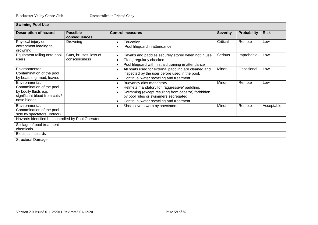| <b>Swiming Pool Use</b>                                                                                               |                                         |                                                                                                                                                                                                                                                           |                 |                    |             |  |  |
|-----------------------------------------------------------------------------------------------------------------------|-----------------------------------------|-----------------------------------------------------------------------------------------------------------------------------------------------------------------------------------------------------------------------------------------------------------|-----------------|--------------------|-------------|--|--|
| <b>Description of hazard</b>                                                                                          | <b>Possible</b><br>consequences         | <b>Control measures</b>                                                                                                                                                                                                                                   | <b>Severity</b> | <b>Probability</b> | <b>Risk</b> |  |  |
| Physical injury or<br>entrapment leading to<br>drowning                                                               | Drowning                                | Education<br>٠<br>Pool lifeguard in attendance                                                                                                                                                                                                            | Critical        | Remote             | Low         |  |  |
| Equipment falling onto pool<br>users                                                                                  | Cuts, bruises, loss of<br>consciousness | Kayaks and paddles securely stored when not in use.<br>$\bullet$<br>Fixing regularly checked.<br>٠<br>Pool lifeguard with first aid training in attendance<br>$\bullet$                                                                                   | Serious         | Improbable         | Low         |  |  |
| Environmental:<br>Contamination of the pool<br>by boats e.g. mud, leaves                                              |                                         | All boats used for external paddling are cleaned and<br>$\bullet$<br>inspected by the user before used in the pool.<br>Continual water recycling and treatment<br>$\bullet$                                                                               | Minor           | Occasional         | Low         |  |  |
| Environmental:<br>Contamination of the pool<br>by bodily fluids e.g.<br>significant blood from cuts /<br>nose bleeds. |                                         | Buoyancy aids mandatory.<br>$\bullet$<br>Helmets mandatory for 'aggressive' paddling.<br>Swimming (except resulting from capsize) forbidden<br>$\bullet$<br>by pool rules or swimmers segregated.<br>Continual water recycling and treatment<br>$\bullet$ | Minor           | Remote             | Low         |  |  |
| Environmental:<br>Contamination of the pool<br>side by spectators (Indoor)                                            |                                         | Shoe covers worn by spectators<br>$\bullet$                                                                                                                                                                                                               | Minor           | Remote             | Acceptable  |  |  |
| Hazards identified but controlled by Pool Operator                                                                    |                                         |                                                                                                                                                                                                                                                           |                 |                    |             |  |  |
| Spillage of pool treatment<br>chemicals                                                                               |                                         |                                                                                                                                                                                                                                                           |                 |                    |             |  |  |
| <b>Electrical hazards</b><br><b>Structural Damage</b>                                                                 |                                         |                                                                                                                                                                                                                                                           |                 |                    |             |  |  |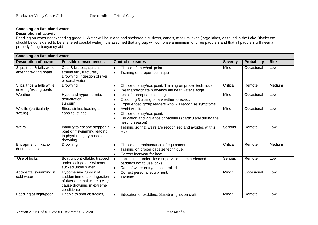### **Canoeing on flat inland water Description of activity**

Paddling on water not exceeding grade 1. Water will be inland and sheltered e.g. rivers, canals, medium lakes (large lakes, as found in the Lake District etc. should be considered to be sheltered coastal water). It is assumed that a group will comprise a minimum of three paddlers and that all paddlers will wear a properly fitting buoyancy aid.

| Canoeing on flat inland water                         |                                                                                                                                  |                                                                                                                                                               |                 |             |             |  |
|-------------------------------------------------------|----------------------------------------------------------------------------------------------------------------------------------|---------------------------------------------------------------------------------------------------------------------------------------------------------------|-----------------|-------------|-------------|--|
| <b>Description of hazard</b>                          | <b>Possible consequences</b>                                                                                                     | <b>Control measures</b>                                                                                                                                       | <b>Severity</b> | Probability | <b>Risk</b> |  |
| Slips, trips & falls while<br>entering/exiting boats. | Cuts & bruises, sprains,<br>strains etc., fractures,<br>Drowning, ingestion of river<br>or canal water                           | Choice of entry/exit point.<br>$\bullet$<br>Training on proper technique<br>$\bullet$                                                                         | Minor           | Occasional  | Low         |  |
| Slips, trips & falls while<br>entering/exiting boats  | Drowning                                                                                                                         | Choice of entry/exit point. Training on proper technique.<br>Wear appropriate buoyancy aid near water's edge                                                  | Critical        | Remote      | Medium      |  |
| Weather                                               | Hypo and hyperthermia,<br>dehydration,<br>sunburn                                                                                | Use of appropriate clothing,<br>$\bullet$<br>Obtaining & acting on a weather forecast.<br>Experienced group leaders who will recognise symptoms.<br>$\bullet$ | Minor           | Occasional  | Low         |  |
| Wildlife (particularly<br>swans)                      | Bites, strikes leading to<br>capsize, stings,                                                                                    | Avoid wildlife.<br>$\bullet$<br>Choice of entry/exit point.<br>Education and vigilance of paddlers (particularly during the<br>nesting season)                | Minor           | Occasional  | Low         |  |
| Weirs                                                 | Inability to escape stopper in<br>boat or if swimming leading<br>to physical injury possible<br>drowning                         | Training so that weirs are recognised and avoided at this<br>level                                                                                            | <b>Serious</b>  | Remote      | Low         |  |
| Entrapment in kayak<br>during capsize                 | Drowning                                                                                                                         | Choice and maintenance of equipment.<br>Training on proper capsize technique.<br>Correct footwear for boat                                                    | Critical        | Remote      | Medium      |  |
| Use of locks                                          | Boat uncontrollable, trapped<br>under lock gate. Swimmer<br>sucked under water                                                   | Locks used under close supervision. Inexperienced<br>$\bullet$<br>paddlers not to use locks<br>Rate of water entry/exit controlled<br>$\bullet$               | Serious         | Remote      | Low         |  |
| Accidental swimming in<br>cold water                  | Hypothermia. Shock of<br>sudden immersion Ingestion<br>of river or canal water. (May<br>cause drowning in extreme<br>conditions) | Correct personal equipment.<br>$\bullet$<br>Training                                                                                                          | Minor           | Occasional  | Low         |  |
| Paddling at night/poor                                | Unable to spot obstacles,                                                                                                        | Education of paddlers. Suitable lights on craft.<br>$\bullet$                                                                                                 | Minor           | Remote      | Low         |  |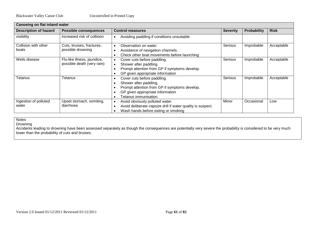| Canoeing on flat inland water  |                                                           |                                                                                                                                                                    |                 |                    |             |  |
|--------------------------------|-----------------------------------------------------------|--------------------------------------------------------------------------------------------------------------------------------------------------------------------|-----------------|--------------------|-------------|--|
| <b>Description of hazard</b>   | <b>Possible consequences</b>                              | <b>Control measures</b>                                                                                                                                            | <b>Severity</b> | <b>Probability</b> | <b>Risk</b> |  |
| visibility                     | increased risk of collision                               | Avoiding paddling if conditions unsuitable                                                                                                                         |                 |                    |             |  |
| Collision with other<br>boats  | Cuts, bruises, fractures,<br>possible drowning            | Observation on water.<br>Avoidance of navigation channels.<br>Check other boat movements before launching                                                          | Serious         | Improbable         | Acceptable  |  |
| Weils disease                  | Flu-like illness, jaundice,<br>possible death (very rare) | Cover cuts before paddling.<br>Shower after paddling.<br>Prompt attention from GP if symptoms develop.<br>GP given appropriate information                         | Serious         | Improbable         | Acceptable  |  |
| Tetanus                        | Tetanus                                                   | Cover cuts before paddling.<br>Shower after paddling.<br>Prompt attention from GP if symptoms develop.<br>GP given appropriate information<br>Tetanus immunisation | Serious         | Improbable         | Acceptable  |  |
| Ingestion of polluted<br>water | Upset stomach, vomiting,<br>diarrhoea                     | Avoid obviously polluted water.<br>$\bullet$<br>Avoid deliberate capsize drill if water quality is suspect.<br>Wash hands before eating or smoking                 | Minor           | Occasional         | Low         |  |

**Notes** 

Drowning

Accidents leading to drowning have been assessed separately as though the consequences are potentially very severe the probability is considered to be very much lower than the probability of cuts and bruises.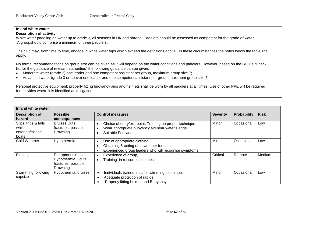| <b>Description of activity</b><br>White water paddling on water up to grade 3, all seasons in UK and abroad. Paddlers should be assessed as competent for the grade of water.<br>A groupshould comprise a minimum of three paddlers.<br>The club may, from time to time, engage in white water trips which exceed the definitions above. In these circumstances the notes below the table shall<br>apply.<br>No formal recommendations on group size can be given as it will depend on the water conditions and paddlers. However, based on the BCU"s "Check<br>list for the guidance of relevant authorities" the following guidance can be given:<br>Moderate water (grade 2) one leader and one competent assistant per group, maximum group size 7;<br>$\bullet$<br>Advanced water (grade 3 or above) one leader and one competent assistant per group, maximum group size 5.<br>$\bullet$ | Inland white water                                                                                                                                      |
|------------------------------------------------------------------------------------------------------------------------------------------------------------------------------------------------------------------------------------------------------------------------------------------------------------------------------------------------------------------------------------------------------------------------------------------------------------------------------------------------------------------------------------------------------------------------------------------------------------------------------------------------------------------------------------------------------------------------------------------------------------------------------------------------------------------------------------------------------------------------------------------------|---------------------------------------------------------------------------------------------------------------------------------------------------------|
|                                                                                                                                                                                                                                                                                                                                                                                                                                                                                                                                                                                                                                                                                                                                                                                                                                                                                                |                                                                                                                                                         |
|                                                                                                                                                                                                                                                                                                                                                                                                                                                                                                                                                                                                                                                                                                                                                                                                                                                                                                |                                                                                                                                                         |
|                                                                                                                                                                                                                                                                                                                                                                                                                                                                                                                                                                                                                                                                                                                                                                                                                                                                                                |                                                                                                                                                         |
|                                                                                                                                                                                                                                                                                                                                                                                                                                                                                                                                                                                                                                                                                                                                                                                                                                                                                                |                                                                                                                                                         |
|                                                                                                                                                                                                                                                                                                                                                                                                                                                                                                                                                                                                                                                                                                                                                                                                                                                                                                |                                                                                                                                                         |
|                                                                                                                                                                                                                                                                                                                                                                                                                                                                                                                                                                                                                                                                                                                                                                                                                                                                                                |                                                                                                                                                         |
| for activities where it is identified as mitigation                                                                                                                                                                                                                                                                                                                                                                                                                                                                                                                                                                                                                                                                                                                                                                                                                                            | Personal protective equipment: properly fitting buoyancy aids and helmets shall be worn by all paddlers at all times. Use of other PPE will be required |
|                                                                                                                                                                                                                                                                                                                                                                                                                                                                                                                                                                                                                                                                                                                                                                                                                                                                                                |                                                                                                                                                         |

| Inland white water                                         |                                                                               |                                                                                                                                                                            |                 |                    |             |
|------------------------------------------------------------|-------------------------------------------------------------------------------|----------------------------------------------------------------------------------------------------------------------------------------------------------------------------|-----------------|--------------------|-------------|
| <b>Description of</b><br>hazard                            | <b>Possible</b><br>consequences                                               | <b>Control measures</b>                                                                                                                                                    | <b>Severity</b> | <b>Probability</b> | <b>Risk</b> |
| Slips, trips & falls<br>while<br>entering/exiting<br>boats | <b>Bruises Cuts,</b><br>fractures, possible<br>Drowning                       | Choice of entry/exit point. Training on proper technique.<br>$\bullet$<br>Wear appropriate buoyancy aid near water's edge<br>$\bullet$<br>Suitable Footwear                | Minor           | Occasional         | Low         |
| Cold Weather                                               | Hypothermia,                                                                  | Use of appropriate clothing,<br>$\bullet$<br>Obtaining & acting on a weather forecast.<br>$\bullet$<br>Experienced group leaders who will recognise symptoms.<br>$\bullet$ | Minor           | Occasional         | LOW         |
| Pinning                                                    | Entrapment in boat<br>Hypothermia, , cuts,<br>fractures, possible<br>Drowning | Experience of group,<br>Training in rescue techniques<br>$\bullet$                                                                                                         | Critical        | Remote             | Medium      |
| Swimming following<br>capsize                              | Hypothermia, bruises,                                                         | Individuals trained in safe swimming technique.<br>$\bullet$<br>Adequate protection of rapids.<br>٠<br>Properly fitting helmet and Buoyancy aid                            | Minor           | Occasional         | Low         |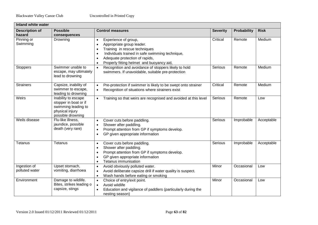| Inland white water              |                                                                                                             |                                                                                                                                                                                                                                                                                                    |                 |                    |             |
|---------------------------------|-------------------------------------------------------------------------------------------------------------|----------------------------------------------------------------------------------------------------------------------------------------------------------------------------------------------------------------------------------------------------------------------------------------------------|-----------------|--------------------|-------------|
| <b>Description of</b><br>hazard | <b>Possible</b><br>consequences                                                                             | <b>Control measures</b>                                                                                                                                                                                                                                                                            | <b>Severity</b> | <b>Probability</b> | <b>Risk</b> |
| Pinning or<br>Swimming          | Drowning                                                                                                    | Experience of group,<br>$\bullet$<br>Appropriate group leader.<br>$\bullet$<br>Training in rescue techniques<br>$\bullet$<br>Individuals trained in safe swimming technique,<br>$\bullet$<br>Adequate protection of rapids,<br>$\bullet$<br>Properly fitting helmet and buoyancy aid,<br>$\bullet$ | Critical        | Remote             | Medium      |
| <b>Stoppers</b>                 | Swimmer unable to<br>escape, may ultimately<br>lead to drowning                                             | Recognition and avoidance of stoppers likely to hold<br>$\bullet$<br>swimmers. If unavoidable, suitable pre-protection                                                                                                                                                                             | Serious         | Remote             | Medium      |
| <b>Strainers</b>                | Capsize, inability of<br>swimmer to escape,<br>leading to drowning                                          | Pre-protection if swimmer is likely to be swept onto strainer<br>$\bullet$<br>Recognition of situations where strainers exist<br>$\bullet$                                                                                                                                                         | Critical        | Remote             | Medium      |
| Weirs                           | Inability to escape<br>stopper in boat or if<br>swimming leading to<br>physical injury<br>possible drowning | Training so that weirs are recognised and avoided at this level<br>$\bullet$                                                                                                                                                                                                                       | Serious         | Remote             | Low         |
| Weils disease                   | Flu-like illness,<br>jaundice, possible<br>death (very rare)                                                | Cover cuts before paddling.<br>$\bullet$<br>Shower after paddling.<br>$\bullet$<br>Prompt attention from GP if symptoms develop.<br>$\bullet$<br>GP given appropriate information<br>$\bullet$                                                                                                     | Serious         | Improbable         | Acceptable  |
| Tetanus                         | Tetanus                                                                                                     | Cover cuts before paddling.<br>$\bullet$<br>Shower after paddling.<br>$\bullet$<br>Prompt attention from GP if symptoms develop.<br>$\bullet$<br>GP given appropriate information<br>$\bullet$<br>Tetanus immunisation<br>$\bullet$                                                                | Serious         | Improbable         | Acceptable  |
| Ingestion of<br>polluted water  | Upset stomach,<br>vomiting, diarrhoea                                                                       | Avoid obviously polluted water.<br>$\bullet$<br>Avoid deliberate capsize drill if water quality is suspect.<br>$\bullet$<br>Wash hands before eating or smoking<br>$\bullet$                                                                                                                       | Minor           | Occasional         | Low         |
| Environment                     | Damage to wildlife.<br>Bites, strikes leading o<br>capsize, stings                                          | Choice of entry/exit point.<br>$\bullet$<br>Avoid wildlife<br>$\bullet$<br>Education and vigilance of paddlers (particularly during the<br>nesting season)                                                                                                                                         | Minor           | Occasional         | Low         |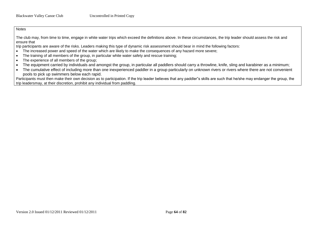**Notes** 

The club may, from time to time, engage in white water trips which exceed the definitions above. In these circumstances, the trip leader should assess the risk and ensure that

trip participants are aware of the risks. Leaders making this type of dynamic risk assessment should bear in mind the following factors:

- The increased power and speed of the water which are likely to make the consequences of any hazard more severe;
- The training of all members of the group, in particular white water safety and rescue training;
- The experience of all members of the group;
- The equipment carried by individuals and amongst the group, in particular all paddlers should carry a throwline, knife, sling and karabiner as a minimum;
- The cumulative effect of including more than one inexperienced paddler in a group particularly on unknown rivers or rivers where there are not convenient pools to pick up swimmers below each rapid.

Participants must then make their own decision as to participation. If the trip leader believes that any paddler"s skills are such that he/she may endanger the group, the trip leadersmay, at their discretion, prohibit any individual from paddling.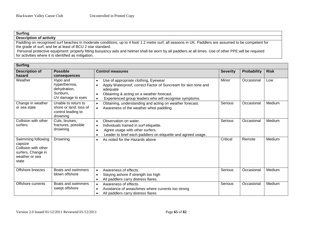# **Surfing**

**Description of activity** 

Paddling on recognised surf beaches in moderate conditions, up to 4 foot/ 1.2 metre surf, all seasons in UK. Paddlers are assumed to be competent for the grade of surf, and be at least of BCU 2 star standard.

Personal protective equipment: properly fitting buoyancy aids and helmet shall be worn by all paddlers at all times. Use of other PPE will be required for activities where it is identified as mitigation.

| <b>Surfing</b>                                                                                         |                                                                                 |                                                                                                                                                                                                                                                                               |                 |                    |             |
|--------------------------------------------------------------------------------------------------------|---------------------------------------------------------------------------------|-------------------------------------------------------------------------------------------------------------------------------------------------------------------------------------------------------------------------------------------------------------------------------|-----------------|--------------------|-------------|
| <b>Description of</b><br>hazard                                                                        | <b>Possible</b><br>consequences                                                 | <b>Control measures</b>                                                                                                                                                                                                                                                       | <b>Severity</b> | <b>Probability</b> | <b>Risk</b> |
| Weather                                                                                                | Hypo and<br>hyperthermia,<br>dehydration,<br>Sunburn,<br>UV damage to eyes      | Use of appropriate clothing, Eyewear<br>$\bullet$<br>Apply Waterproof, correct Factor of Suncream for skin tone and<br>$\bullet$<br>adequate<br>Obtaining & acting on a weather forecast.<br>$\bullet$<br>Experienced group leaders who will recognise symptoms.<br>$\bullet$ | Minor           | Occasional         | Low         |
| Change in weather<br>or sea state                                                                      | Unable to return to<br>shore or land; loss of<br>control leading to<br>drowning | Obtaining, understanding and acting on weather forecast.<br>$\bullet$<br>Awareness of the weather whist paddling.<br>$\bullet$                                                                                                                                                | Serious         | Occasional         | Medium      |
| Collision with other<br>surfers                                                                        | Cuts, bruises,<br>fractures, possible<br>drowning                               | Observation on water.<br>$\bullet$<br>Individuals trained in surf etiquette.<br>$\bullet$<br>Agree usage with other surfers.<br>$\bullet$<br>Leader to brief each paddlers on etiquette and agreed usage.<br>$\bullet$                                                        | Serious         | Occasional         | Medium      |
| Swimming following<br>capsize<br>Collision with other<br>surfers, Change in<br>weather or sea<br>state | Drowning                                                                        | As noted for the Hazards above<br>$\bullet$                                                                                                                                                                                                                                   | Critical        | Remote             | Medium      |
| Offshore breezes                                                                                       | Boats and swimmers<br>blown offshore                                            | Awareness of effects.<br>$\bullet$<br>Staying ashore if strength too high<br>$\bullet$<br>All paddlers carry distress flares.<br>$\bullet$                                                                                                                                    | Serious         | Occasional         | Medium      |
| Offshore currents                                                                                      | Boats and swimmers<br>swept offshore                                            | Awareness of effects.<br>$\bullet$<br>Avoidance of areas/times where currents too strong<br>$\bullet$<br>All paddlers carry distress flares<br>$\bullet$                                                                                                                      | Serious         | Occasional         | Medium      |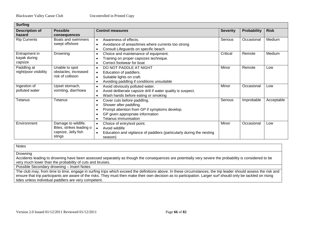| <b>Surfing</b>        |                          |                                                                                   |                 |             |             |
|-----------------------|--------------------------|-----------------------------------------------------------------------------------|-----------------|-------------|-------------|
| <b>Description of</b> | <b>Possible</b>          | <b>Control measures</b>                                                           | <b>Severity</b> | Probability | <b>Risk</b> |
| hazard                | consequences             |                                                                                   |                 |             |             |
| <b>Rip Currents</b>   | Boats and swimmers       | Awareness of effects.<br>$\bullet$                                                | Serious         | Occasional  | Medium      |
|                       | swept offshore           | Avoidance of areas/times where currents too strong<br>$\bullet$                   |                 |             |             |
|                       |                          | Consult Lifeguards on specific beach<br>$\bullet$                                 |                 |             |             |
| Entrapment in         | Drowning                 | Choice and maintenance of equipment.<br>$\bullet$                                 | Critical        | Remote      | Medium      |
| kayak during          |                          | Training on proper capsizes technique.<br>$\bullet$                               |                 |             |             |
| capsize               |                          | Correct footwear for boat<br>$\bullet$                                            |                 |             |             |
| Paddling at           | Unable to spot           | DO NOT PADDLE AT NIGHT<br>$\bullet$                                               | Minor           | Remote      | Low         |
| night/poor visibility | obstacles, increased     | Education of paddlers.<br>$\bullet$                                               |                 |             |             |
|                       | risk of collision        | Suitable lights on craft.<br>$\bullet$                                            |                 |             |             |
|                       |                          | Avoiding paddling if conditions unsuitable<br>$\bullet$                           |                 |             |             |
| Ingestion of          | Upset stomach,           | Avoid obviously polluted water.<br>$\bullet$                                      | Minor           | Occasional  | Low         |
| polluted water        | vomiting, diarrhoea      | Avoid deliberate capsize drill if water quality is suspect.<br>$\bullet$          |                 |             |             |
|                       |                          | Wash hands before eating or smoking<br>$\bullet$                                  |                 |             |             |
| Tetanus               | Tetanus                  | Cover cuts before paddling.<br>$\bullet$                                          | Serious         | Improbable  | Acceptable  |
|                       |                          | Shower after paddling.                                                            |                 |             |             |
|                       |                          | Prompt attention from GP if symptoms develop.<br>$\bullet$                        |                 |             |             |
|                       |                          | GP given appropriate information<br>$\bullet$                                     |                 |             |             |
|                       |                          | Tetanus immunisation<br>$\bullet$                                                 |                 |             |             |
| Environment           | Damage to wildlife.      | Choice of entry/exit point.<br>$\bullet$                                          | Minor           | Occasional  | Low         |
|                       | Bites, strikes leading o | Avoid wildlife<br>$\bullet$                                                       |                 |             |             |
|                       | capsize, Jelly fish      | Education and vigilance of paddlers (particularly during the nesting<br>$\bullet$ |                 |             |             |
|                       | stings                   | season)                                                                           |                 |             |             |

**Notes** 

**Drowning** 

Accidents leading to drowning have been assessed separately as though the consequences are potentially very severe the probability is considered to be very much lower than the probability of cuts and bruises.

Possible Secondary drowning – Insert Notes

The club may, from time to time, engage in surfing trips which exceed the definitions above. In these circumstances, the trip leader should assess the risk and ensure that trip participants are aware of the risks. They must then make their own decision as to participation. Larger surf should only be tackled on rising tides unless individual paddlers are very competent.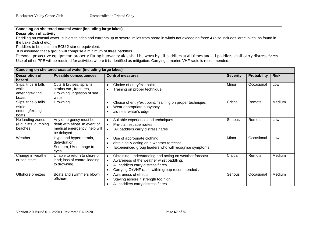**Canoeing on sheltered coastal water (including large lakes)** 

**Description of activity** 

Paddling on coastal water, subject to tides and currents up to several miles from shore in winds not exceeding force 4 (also includes large lakes, as found in the Lake District etc.).

Paddlers to be minimum BCU 2 star or equivalent.

It is assumed that a group will comprise a minimum of three paddlers

Personal protective equipment: properly fitting buoyancy aids shall be worn by all paddlers at all times and all paddlers shall carry distress flares. Use of other PPE will be required for activities where it is identified as mitigation. Carrying a marine VHF radio is recommended.

|                                                             | Canoeing on sheltered coastal water (including large lakes)                                           |                                                                                                                                                                                              |                 |                    |             |
|-------------------------------------------------------------|-------------------------------------------------------------------------------------------------------|----------------------------------------------------------------------------------------------------------------------------------------------------------------------------------------------|-----------------|--------------------|-------------|
| <b>Description of</b><br>hazard                             | <b>Possible consequences</b>                                                                          | <b>Control measures</b>                                                                                                                                                                      | <b>Severity</b> | <b>Probability</b> | <b>Risk</b> |
| Slips, trips & falls<br>while<br>entering/exiting<br>boats. | Cuts & bruises, sprains,<br>strains etc., fractures,<br>Drowning, ingestion of sea<br>water           | Choice of entry/exit point.<br>$\bullet$<br>Training on proper technique<br>$\bullet$                                                                                                        | Minor           | Occasional         | Low         |
| Slips, trips & falls<br>while<br>entering/exiting<br>boats  | Drowning                                                                                              | Choice of entry/exit point. Training on proper technique.<br>Wear appropriate buoyancy<br>aid near water's edge                                                                              | Critical        | Remote             | Medium      |
| No landing zones<br>(e.g. cliffs, dumping<br>beaches)       | Any emergency must be<br>dealt with afloat. In event of<br>medical emergency, help will<br>be delayed | Suitable experience and techniques.<br>$\bullet$<br>Pre-plan escape routes.<br>All paddlers carry distress flares                                                                            | Serious         | Remote             | Low         |
| Weather                                                     | Hypo and hyperthermia,<br>dehydration,<br>Sunburn, UV damage to<br>eves                               | Use of appropriate clothing,<br>$\bullet$<br>obtaining & acting on a weather forecast.<br>Experienced group leaders who will recognise symptoms.<br>$\bullet$                                | Minor           | Occasional         | Low         |
| Change in weather<br>or sea state                           | Unable to return to shore or<br>land; loss of control leading<br>to drowning                          | Obtaining, understanding and acting on weather forecast.<br>Awareness of the weather whist paddling.<br>All paddlers carry distress flares<br>Carrying C+VHF radio within group recommended. | Critical        | Remote             | Medium      |
| Offshore breezes                                            | Boats and swimmers blown<br>offshore                                                                  | Awareness of effects.<br>$\bullet$<br>Staying ashore if strength too high<br>All paddlers carry distress flares.                                                                             | Serious         | Occasional         | Medium      |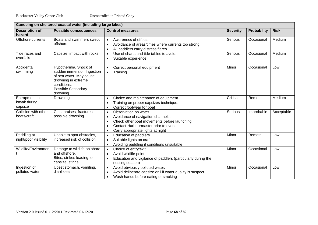|                                          | Canoeing on sheltered coastal water (including large lakes)                                                                                                   |                                                                                                                                                                                                                   |                 |             |             |  |
|------------------------------------------|---------------------------------------------------------------------------------------------------------------------------------------------------------------|-------------------------------------------------------------------------------------------------------------------------------------------------------------------------------------------------------------------|-----------------|-------------|-------------|--|
| <b>Description of</b><br>hazard          | <b>Possible consequences</b>                                                                                                                                  | <b>Control measures</b>                                                                                                                                                                                           | <b>Severity</b> | Probability | <b>Risk</b> |  |
| Offshore currents                        | Boats and swimmers swept<br>offshore                                                                                                                          | Awareness of effects.<br>$\bullet$<br>Avoidance of areas/times where currents too strong<br>All paddlers carry distress flares                                                                                    | Serious         | Occasional  | Medium      |  |
| Tide races and<br>overfalls              | Capsize, impact with rocks                                                                                                                                    | Use of charts and tide tables to avoid.<br>$\bullet$<br>Suitable experience<br>$\bullet$                                                                                                                          | Serious         | Occasional  | Medium      |  |
| Accidental<br>swimming                   | Hypothermia. Shock of<br>sudden immersion Ingestion<br>of sea water. May cause<br>drowning in extreme<br>conditions.<br><b>Possible Secondary</b><br>drowning | Correct personal equipment<br>$\bullet$<br>Training<br>$\bullet$                                                                                                                                                  | Minor           | Occasional  | Low         |  |
| Entrapment in<br>kayak during<br>capsize | Drowning                                                                                                                                                      | Choice and maintenance of equipment.<br>Training on proper capsizes technique.<br>Correct footwear for boat<br>٠                                                                                                  | Critical        | Remote      | Medium      |  |
| Collision with other<br>boats/craft      | Cuts, bruises, fractures,<br>possible drowning                                                                                                                | Observation on water.<br>$\bullet$<br>Avoidance of navigation channels.<br>Check other boat movements before launching<br>Contact Harbourmaster prior to event.<br>Carry appropriate lights at night<br>$\bullet$ | Serious         | Improbable  | Acceptable  |  |
| Paddling at<br>night/poor visibility     | Unable to spot obstacles,<br>increased risk of collision                                                                                                      | Education of paddlers.<br>$\bullet$<br>Suitable lights on craft.<br>$\bullet$<br>Avoiding paddling if conditions unsuitable<br>$\bullet$                                                                          | Minor           | Remote      | Low         |  |
| Wildlife/Environmen                      | Damage to wildlife on shore<br>and offshore.<br>Bites, strikes leading to<br>capsize, stings,                                                                 | Choice of entry/exit<br>$\bullet$<br>Avoid wildlife point.<br>Education and vigilance of paddlers (particularly during the<br>nesting season)                                                                     | Minor           | Occasional  | Low         |  |
| Ingestion of<br>polluted water           | Upset stomach, vomiting,<br>diarrhoea                                                                                                                         | Avoid obviously polluted water.<br>$\bullet$<br>Avoid deliberate capsize drill if water quality is suspect.<br>Wash hands before eating or smoking<br>$\bullet$                                                   | Minor           | Occasional  | Low         |  |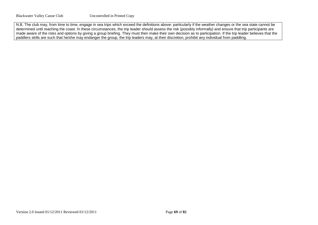N.B. The club may, from time to time, engage in sea trips which exceed the definitions above: particularly if the weather changes or the sea state cannot be determined until reaching the coast. In these circumstances, the trip leader should assess the risk (possibly informally) and ensure that trip participants are made aware of the risks and options by giving a group briefing. They must then make their own decision as to participation. If the trip leader believes that the paddlers skills are such that he/she may endanger the group, the trip leaders may, at their discretion, prohibit any individual from paddling.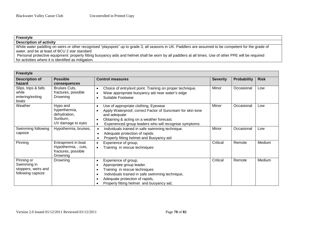| <b>Freestyle</b>                                                                                                                                       |
|--------------------------------------------------------------------------------------------------------------------------------------------------------|
| <b>Description of activity</b>                                                                                                                         |
| White water paddling on weirs or other recognised "playspots" up to grade 3, all seasons in UK. Paddlers are assumed to be competent for the grade of  |
| water, and be at least of BCU 2 star standard                                                                                                          |
| Personal protective equipment: properly fitting buoyancy aids and helmet shall be worn by all paddlers at all times. Use of other PPE will be required |
| for activities where it is identified as mitigation.                                                                                                   |

| <b>Freestyle</b>                                                      |                                                                               |                                                                                                                                                                                                                                                                                                    |                 |                    |             |
|-----------------------------------------------------------------------|-------------------------------------------------------------------------------|----------------------------------------------------------------------------------------------------------------------------------------------------------------------------------------------------------------------------------------------------------------------------------------------------|-----------------|--------------------|-------------|
| <b>Description of</b><br>hazard                                       | <b>Possible</b><br>consequences                                               | <b>Control measures</b>                                                                                                                                                                                                                                                                            | <b>Severity</b> | <b>Probability</b> | <b>Risk</b> |
| Slips, trips & falls<br>while<br>entering/exiting<br>boats            | Bruises Cuts,<br>fractures, possible<br>Drowning                              | Choice of entry/exit point. Training on proper technique.<br>$\bullet$<br>Wear appropriate buoyancy aid near water's edge<br>$\bullet$<br>Suitable Footwear<br>$\bullet$                                                                                                                           | Minor           | Occasional         | Low         |
| Weather                                                               | Hypo and<br>hyperthermia,<br>dehydration,<br>Sunburn,<br>UV damage to eyes    | Use of appropriate clothing, Eyewear<br>$\bullet$<br>Apply Waterproof, correct Factor of Suncream for skin tone<br>$\bullet$<br>and adequate<br>Obtaining & acting on a weather forecast.<br>$\bullet$<br>Experienced group leaders who will recognise symptoms.<br>$\bullet$                      | Minor           | Occasional         | Low         |
| Swimming following<br>capsize                                         | Hypothermia, bruises,                                                         | Individuals trained in safe swimming technique.<br>Adequate protection of rapids.<br>$\bullet$<br>Properly fitting helmet and Buoyancy aid<br>$\bullet$                                                                                                                                            | Minor           | Occasional         | Low         |
| Pinning                                                               | Entrapment in boat<br>Hypothermia, , cuts,<br>fractures, possible<br>Drowning | Experience of group,<br>$\bullet$<br>Training in rescue techniques<br>$\bullet$                                                                                                                                                                                                                    | Critical        | Remote             | Medium      |
| Pinning or<br>Swimming in<br>stoppers, weirs and<br>following capsize | Drowning                                                                      | Experience of group,<br>$\bullet$<br>Appropriate group leader.<br>$\bullet$<br>Training in rescue techniques<br>$\bullet$<br>Individuals trained in safe swimming technique,<br>$\bullet$<br>Adequate protection of rapids,<br>$\bullet$<br>Properly fitting helmet and buoyancy aid,<br>$\bullet$ | Critical        | Remote             | Medium      |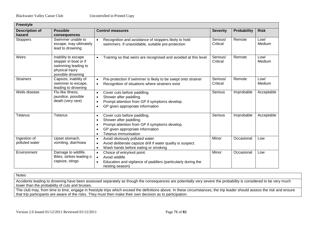| <b>Freestyle</b>                |                                                                                                             |                                                                                                                                                                                                                                     |                      |             |                |
|---------------------------------|-------------------------------------------------------------------------------------------------------------|-------------------------------------------------------------------------------------------------------------------------------------------------------------------------------------------------------------------------------------|----------------------|-------------|----------------|
| <b>Description of</b><br>hazard | <b>Possible</b><br>consequences                                                                             | <b>Control measures</b>                                                                                                                                                                                                             | <b>Severity</b>      | Probability | <b>Risk</b>    |
| <b>Stoppers</b>                 | Swimmer unable to<br>escape, may ultimately<br>lead to drowning                                             | Recognition and avoidance of stoppers likely to hold<br>$\bullet$<br>swimmers. If unavoidable, suitable pre-protection                                                                                                              | Serious/<br>Critical | Remote      | Low/<br>Medium |
| Weirs                           | Inability to escape<br>stopper in boat or if<br>swimming leading to<br>physical injury<br>possible drowning | Training so that weirs are recognised and avoided at this level<br>$\bullet$                                                                                                                                                        | Serious/<br>Critical | Remote      | Low/<br>Medium |
| <b>Strainers</b>                | Capsize, inability of<br>swimmer to escape,<br>leading to drowning                                          | Pre-protection if swimmer is likely to be swept onto strainer<br>$\bullet$<br>Recognition of situations where strainers exist<br>$\bullet$                                                                                          | Serious/<br>Critical | Remote      | Low/<br>Medium |
| Weils disease                   | Flu-like illness,<br>jaundice, possible<br>death (very rare)                                                | Cover cuts before paddling.<br>$\bullet$<br>Shower after paddling.<br>$\bullet$<br>Prompt attention from GP if symptoms develop.<br>$\bullet$<br>GP given appropriate information<br>$\bullet$                                      | Serious              | Improbable  | Acceptable     |
| Tetanus                         | Tetanus                                                                                                     | Cover cuts before paddling.<br>$\bullet$<br>Shower after paddling.<br>$\bullet$<br>Prompt attention from GP if symptoms develop.<br>$\bullet$<br>GP given appropriate information<br>$\bullet$<br>Tetanus immunisation<br>$\bullet$ | Serious              | Improbable  | Acceptable     |
| Ingestion of<br>polluted water  | Upset stomach,<br>vomiting, diarrhoea                                                                       | Avoid obviously polluted water.<br>$\bullet$<br>Avoid deliberate capsize drill if water quality is suspect.<br>$\bullet$<br>Wash hands before eating or smoking<br>$\bullet$                                                        | Minor                | Occasional  | Low            |
| Environment                     | Damage to wildlife.<br>Bites, strikes leading o<br>capsize, stings                                          | Choice of entry/exit point.<br>$\bullet$<br>Avoid wildlife<br>$\bullet$<br>Education and vigilance of paddlers (particularly during the<br>$\bullet$<br>nesting season)                                                             | Minor                | Occasional  | Low            |

**Notes** 

Accidents leading to drowning have been assessed separately as though the consequences are potentially very severe the probability is considered to be very much lower than the probability of cuts and bruises.

The club may, from time to time, engage in freestyle trips which exceed the definitions above. In these circumstances, the trip leader should assess the risk and ensure that trip participants are aware of the risks. They must then make their own decision as to participation.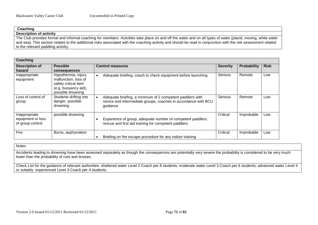| Coaching                                                                                                                                                        |
|-----------------------------------------------------------------------------------------------------------------------------------------------------------------|
| <b>Description of activity</b>                                                                                                                                  |
| The Club provides formal and informal coaching for members. Activities take place on and off the water and on all types of water (placid, moving, white water   |
| and sea). This section relates to the additional risks associated with the coaching activity and should be read in conjunction with the risk assessment related |
| to the relevant paddling activity.                                                                                                                              |

**Coaching Description of hazard Possible consequences Control measures Severity Probability Risk** Inappropriate equipment Hypothermia, injury, malfunction, loss of safety critical item (e.g. buoyancy aid), possible drowning • Adequate briefing, coach to check equipment before launching  $\Box$  Serious Remote Low Loss of control of group Students drifting into danger, possible drowning • Adequate briefing, a minimum of 2 competent paddlers with novice and intermediate groups, coaches in accordance with BCU guidance Serious Remote Low Inappropriate equipment or loss of group control possible drowning • Experience of group, adequate number of competent paddlers, rescue and first aid training for competent paddlers Critical | Improbable | Low Fire Burns, asphyxiation • Briefing on fire escape procedure for any indoor training Critical | Improbable | Low

**Notes** 

Accidents leading to drowning have been assessed separately as though the consequences are potentially very severe the probability is considered to be very much lower than the probability of cuts and bruises.

Check List for the guidance of relevant authorities: sheltered water Level 2 Coach per 8 students; moderate water Level 3 Coach per 6 students; advanced water Level 4 or suitably experienced Level 3 Coach per 4 students.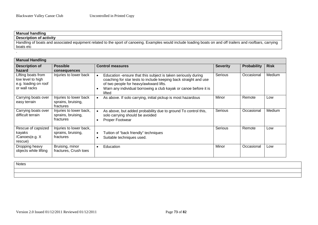.

| <b>Manual handling</b>                                                                                                                                       |
|--------------------------------------------------------------------------------------------------------------------------------------------------------------|
| <b>Description of activity</b>                                                                                                                               |
| Handling of boats and associated equipment related to the sport of canoeing. Examples would include loading boats on and off trailers and roofbars, carrying |
| boats etc                                                                                                                                                    |

| <b>Manual Handling</b>                                                           |                                                            |                                                                                                                                                                                                                                                           |                 |                    |             |  |
|----------------------------------------------------------------------------------|------------------------------------------------------------|-----------------------------------------------------------------------------------------------------------------------------------------------------------------------------------------------------------------------------------------------------------|-----------------|--------------------|-------------|--|
| <b>Description of</b><br>hazard                                                  | <b>Possible</b><br>consequences                            | <b>Control measures</b>                                                                                                                                                                                                                                   | <b>Severity</b> | <b>Probability</b> | <b>Risk</b> |  |
| Lifting boats from<br>low level to high<br>e.g. loading on roof<br>or wall racks | Injuries to lower back                                     | Education -ensure that this subject is taken seriously during<br>coaching for star tests to include keeping back straight and use<br>of two people for heavy/awkward lifts.<br>Warn any individual borrowing a club kayak or canoe before it is<br>lifted | Serious         | Occasional         | Medium      |  |
| Carrying boats over<br>easy terrain                                              | Injuries to lower back<br>sprains, bruising,<br>fractures  | As above. If solo carrying, initial pickup is most hazardous                                                                                                                                                                                              | Minor           | Remote             | Low         |  |
| Carrying boats over<br>difficult terrain                                         | Injuries to lower back,<br>sprains, bruising,<br>fractures | As above, but added probability due to ground To control this,<br>solo carrying should be avoided<br>Proper Footwear                                                                                                                                      | Serious         | Occasional         | Medium      |  |
| Rescue of capsized<br>kayaks<br>/Canoes(e.g. X<br>rescue)                        | Injuries to lower back,<br>sprains, bruising,<br>fractures | Tuition of "back friendly" techniques<br>$\bullet$<br>Suitable techniques used.                                                                                                                                                                           | Serious         | Remote             | Low         |  |
| Dropping heavy<br>objects while lifting                                          | Bruising, minor<br>fractures, Crush toes                   | Education                                                                                                                                                                                                                                                 | Minor           | Occasional         | Low         |  |

**Notes**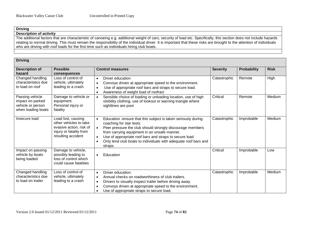# **Driving**

## **Description of activity**

The additional factors that are characteristic of canoeing e.g. additional weight of cars, security of load etc. Specifically, this section does not include hazards relating to normal driving. This must remain the responsibility of the individual driver. It is important that these risks are brought to the attention of individuals who are driving with roof loads for the first time such as individuals hiring club boats.

| <b>Driving</b>                                                                 |                                                                                                                          |                                                                                                                                                                                                                                                                                                                                                                                                    |                 |                    |             |  |
|--------------------------------------------------------------------------------|--------------------------------------------------------------------------------------------------------------------------|----------------------------------------------------------------------------------------------------------------------------------------------------------------------------------------------------------------------------------------------------------------------------------------------------------------------------------------------------------------------------------------------------|-----------------|--------------------|-------------|--|
| <b>Description of</b><br>hazard                                                | <b>Possible</b><br>consequences                                                                                          | <b>Control measures</b>                                                                                                                                                                                                                                                                                                                                                                            | <b>Severity</b> | <b>Probability</b> | <b>Risk</b> |  |
| Changed handling<br>characteristics due<br>to load on roof                     | Loss of control of<br>vehicle, ultimately<br>leading to a crash                                                          | Driver education<br>$\bullet$<br>Convoys driven at appropriate speed to the environment.<br>Use of appropriate roof bars and straps to secure load.<br>Awareness of weight load of roofracl                                                                                                                                                                                                        | Catastrophic    | Remote             | High        |  |
| Passing vehicle<br>impact on parked<br>vehicle or person<br>when loading boats | Damage to vehicle or<br>equipment.<br>Personal injury or<br>fatality                                                     | Sensible choice of loading or unloading location, use of high<br>$\bullet$<br>visibility clothing, use of lookout or warning triangle where<br>sightlines are poor                                                                                                                                                                                                                                 | Critical        | Remote             | Medium      |  |
| Insecure load                                                                  | Load lost, causing<br>other vehicles to take<br>evasive action, risk of<br>injury or fatality from<br>resulting accident | Education -ensure that this subject is taken seriously during<br>$\bullet$<br>coaching for star tests.<br>Peer pressure the club should strongly discourage members<br>$\bullet$<br>from carrying equipment in an unsafe manner.<br>Use of appropriate roof bars and straps to secure load<br>$\bullet$<br>Only lend club boats to individuals with adequate roof bars and<br>$\bullet$<br>straps. | Catastrophic    | Improbable         | Medium      |  |
| Impact on passing<br>vehicle by boats<br>being loaded                          | Damage to vehicle,<br>possibly leading to<br>loss of control which<br>could cause fatalities                             | Education<br>$\bullet$                                                                                                                                                                                                                                                                                                                                                                             | Critical        | Improbable         | Low         |  |
| Changed handling<br>characteristics due<br>to load on trailer                  | Loss of control of<br>vehicle, ultimately<br>leading to a crash                                                          | Driver education.<br>$\bullet$<br>Annual checks on roadworthiness of club trailers.<br>$\bullet$<br>Drivers to visually inspect trailer before driving away.<br>$\bullet$<br>Convoys driven at appropriate speed to the environment.<br>Use of appropriate straps to secure load.                                                                                                                  | Catastrophic    | Improbable         | Medium      |  |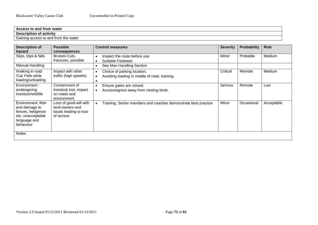| <b>ccess to and from water</b><br>л.                            |
|-----------------------------------------------------------------|
| <b>Description of activity</b>                                  |
| -<br>າ the water<br>Gaining access to and from<br>∪dl<br>$\sim$ |

| <b>Description of</b><br>hazard                                                                            | <b>Possible</b><br>consequences                                                  | <b>Control measures</b>                                                                                             | <b>Severity</b> | <b>Probability</b> | <b>Risk</b> |
|------------------------------------------------------------------------------------------------------------|----------------------------------------------------------------------------------|---------------------------------------------------------------------------------------------------------------------|-----------------|--------------------|-------------|
| Slips, trips & falls                                                                                       | Bruises Cuts,<br>fractures, possible                                             | Inspect the route before use<br>Suitable Footwear<br>$\bullet$                                                      | Minor           | Probable           | Medium      |
| Manual Handling                                                                                            |                                                                                  | See Man Handling Section<br>$\bullet$                                                                               |                 |                    |             |
| Walking in road<br>/Car Park while<br>loading/unloading                                                    | Impact with other<br>traffic (high speeds)                                       | Choice of parking location.<br>$\bullet$<br>Avoiding loading in middle of road, training.<br>$\bullet$<br>$\bullet$ | Critical        | Remote             | Medium      |
| Environment :<br>endangering<br>livestock/wildlife                                                         | Containment of<br>livestock lost, impact<br>on roads and<br>environment          | Ensure gates are closed.<br>$\bullet$<br>Access/egress away from nesting birds.<br>$\bullet$                        | Serious         | Remote             | Low         |
| Environment: litter<br>and damage to<br>fences, hedgerow<br>etc, unacceptable<br>language and<br>behaviour | Loss of good-will with<br>land owners and<br>locals leading to loss<br>of access | Training. Senior members and coaches demonstrate best practice<br>$\bullet$                                         | Minor           | Occasional         | Acceptable  |
| <b>Notes</b>                                                                                               |                                                                                  |                                                                                                                     |                 |                    |             |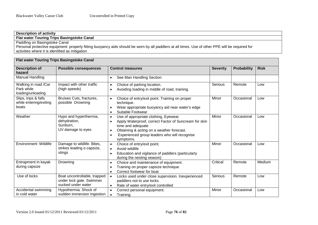# **Description of activity**

**Flat water Touring Trips Basingstoke Canal**

Paddling on Basingstoke Canal

Personal protective equipment: properly fitting buoyancy aids should be worn by all paddlers at all times. Use of other PPE will be required for activities where it is identified as mitigation

| <b>Flat water Touring Trips Basingstoke Canal</b>       |                                                                                |                                                                                                                                                                                                                                                                                  |                 |             |             |  |  |
|---------------------------------------------------------|--------------------------------------------------------------------------------|----------------------------------------------------------------------------------------------------------------------------------------------------------------------------------------------------------------------------------------------------------------------------------|-----------------|-------------|-------------|--|--|
| <b>Description of</b><br>hazard                         | <b>Possible consequences</b>                                                   | <b>Control measures</b>                                                                                                                                                                                                                                                          | <b>Severity</b> | Probability | <b>Risk</b> |  |  |
| <b>Manual Handling</b>                                  |                                                                                | See Man Handling Section<br>$\bullet$                                                                                                                                                                                                                                            |                 |             |             |  |  |
| Walking in road /Car<br>Park while<br>loading/unloading | Impact with other traffic<br>(high speeds)                                     | Choice of parking location.<br>$\bullet$<br>Avoiding loading in middle of road, training.<br>$\bullet$                                                                                                                                                                           | Serious         | Remote      | Low         |  |  |
| Slips, trips & falls<br>while entering/exiting<br>boats | Bruises Cuts, fractures,<br>possible Drowning                                  | Choice of entry/exit point. Training on proper<br>$\bullet$<br>technique.<br>Wear appropriate buoyancy aid near water's edge<br>$\bullet$<br>Suitable Footwear<br>$\bullet$                                                                                                      | Minor           | Occasional  | Low         |  |  |
| Weather                                                 | Hypo and hyperthermia,<br>dehydration,<br>Sunburn,<br>UV damage to eyes        | Use of appropriate clothing, Eyewear<br>$\bullet$<br>Apply Waterproof, correct Factor of Suncream for skin<br>$\bullet$<br>tone and adequate<br>Obtaining & acting on a weather forecast.<br>$\bullet$<br>Experienced group leaders who will recognise<br>$\bullet$<br>symptoms. | Minor           | Occasional  | Low         |  |  |
| Environment : Wildlife                                  | Damage to wildlife. Bites,<br>strikes leading o capsize,<br>stings             | Choice of entry/exit point.<br>$\bullet$<br>Avoid wildlife<br>$\bullet$<br>Education and vigilance of paddlers (particularly<br>$\bullet$<br>during the nesting season)                                                                                                          | Minor           | Occasional  | Low         |  |  |
| Entrapment in kayak<br>during capsize                   | Drowning                                                                       | Choice and maintenance of equipment.<br>$\bullet$<br>Training on proper capsize technique.<br>$\bullet$<br>Correct footwear for boat<br>$\bullet$                                                                                                                                | Critical        | Remote      | Medium      |  |  |
| Use of locks                                            | Boat uncontrollable, trapped<br>under lock gate. Swimmer<br>sucked under water | Locks used under close supervision. Inexperienced<br>$\bullet$<br>paddlers not to use locks<br>Rate of water entry/exit controlled<br>$\bullet$                                                                                                                                  | Serious         | Remote      | Low         |  |  |
| Accidental swimming<br>in cold water                    | Hypothermia. Shock of<br>sudden immersion Ingestion                            | Correct personal equipment.<br>$\bullet$<br>Training<br>$\bullet$                                                                                                                                                                                                                | Minor           | Occasional  | Low         |  |  |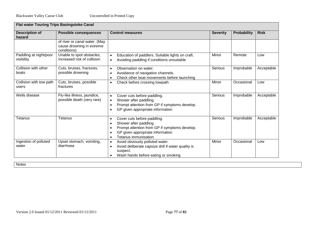| <b>Flat water Touring Trips Basingstoke Canal</b> |                                                                           |                                                                                                                                                                                                                                     |                 |             |             |  |
|---------------------------------------------------|---------------------------------------------------------------------------|-------------------------------------------------------------------------------------------------------------------------------------------------------------------------------------------------------------------------------------|-----------------|-------------|-------------|--|
| <b>Description of</b><br>hazard                   | <b>Possible consequences</b>                                              | <b>Control measures</b>                                                                                                                                                                                                             | <b>Severity</b> | Probability | <b>Risk</b> |  |
|                                                   | of river or canal water. (May<br>cause drowning in extreme<br>conditions) |                                                                                                                                                                                                                                     |                 |             |             |  |
| Paddling at night/poor<br>visibility              | Unable to spot obstacles,<br>increased risk of collision                  | Education of paddlers. Suitable lights on craft.<br>$\bullet$<br>Avoiding paddling if conditions unsuitable<br>$\bullet$                                                                                                            | Minor           | Remote      | Low         |  |
| Collision with other<br>boats                     | Cuts, bruises, fractures,<br>possible drowning                            | Observation on water.<br>$\bullet$<br>Avoidance of navigation channels.<br>$\bullet$<br>Check other boat movements before launching<br>$\bullet$                                                                                    | Serious         | Improbable  | Acceptable  |  |
| Collision with tow path<br>users                  | Cuts, bruises, possible<br>fractures                                      | Check before crossing towpath<br>$\bullet$                                                                                                                                                                                          | Minor           | Occasional  | Low         |  |
| Weils disease                                     | Flu-like illness, jaundice,<br>possible death (very rare)                 | Cover cuts before paddling.<br>$\bullet$<br>Shower after paddling.<br>$\bullet$<br>Prompt attention from GP if symptoms develop.<br>GP given appropriate information<br>$\bullet$                                                   | Serious         | Improbable  | Acceptable  |  |
| Tetanus                                           | Tetanus                                                                   | Cover cuts before paddling.<br>$\bullet$<br>Shower after paddling.<br>$\bullet$<br>Prompt attention from GP if symptoms develop.<br>$\bullet$<br>GP given appropriate information<br>$\bullet$<br>Tetanus immunisation<br>$\bullet$ | Serious         | Improbable  | Acceptable  |  |
| Ingestion of polluted<br>water                    | Upset stomach, vomiting,<br>diarrhoea                                     | Avoid obviously polluted water.<br>$\bullet$<br>Avoid deliberate capsize drill if water quality is<br>$\bullet$<br>suspect.<br>Wash hands before eating or smoking<br>$\bullet$                                                     | Minor           | Occasional  | Low         |  |

**Notes**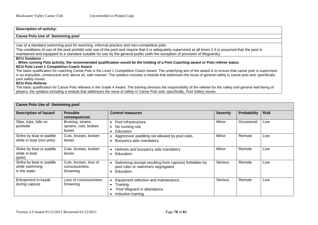## **Description of activity:**

## **Canoe Polo Use of Swimming pool**

Use of a standard swimming pool for teaching, informal practice and non-competitive polo.

The conditions of use of the pool prohibit solo use of the pool and require that it is adequately supervised at all times.1 It is assumed that the pool is maintained and equipped to a standard suitable for use by the general public (with the exception of provision of lifeguards).

## **BCU Guidance –**

#### **. When running Polo activity, the recommended qualification would be the holding of a Polo Coaching award or Polo referee status BCU Polo Level 1 Competition Coach Award**

The basic qualification for coaching Canoe Polo is the Level 1 Competition Coach Award. The underlying aim of the award is to ensure that canoe polo is supervised in an enjoyable, constructive and, above all, safe manner. The syllabus includes a module that addresses the issue of general safety in canoe polo and, specifically, pool safety issues.

### **BCU Polo Referee**

The basic qualification for Canoe Polo referees is the Grade 4 Award. The training stresses the responsibility of the referee for the safety and general well-being of players, the syllabus including a module that addresses the issue of safety in Canoe Polo and, specifically, Pool Safety issues.

#### **Canoe Polo Use of Swimming pool Description of hazard Possible consequences Control measures Severity Probability Risk** Slips, trips, falls on poolside Bruising, strains, sprains, cuts, broken bones • Pool infrastructure • No running rule • Education Minor | Occasional | Low Strike by boat or paddle while in boat (non polo) Cuts, bruises, broken bones • Aggressive' paddling not allowed by pool rules. • Buoyancy aids mandatory. Minor Remote Low Strike by boat or paddle while in boat (polo) Cuts, bruises, broken bones • Helmets and buoyancy aids mandatory • Education Minor Remote Low Strike by boat or paddle while swimming in the water Cuts, bruises, loss of consciousness, Drowning • Swimming (except resulting from capsize) forbidden by pool rules or swimmers segregated • Education Serious Remote Low Entrapment in kayak during capsize Loss of consciousness, Drowning • Equipment selection and maintenance. • Training. • Pool lifeguard in attendance. • Induction training. Serious Remote Low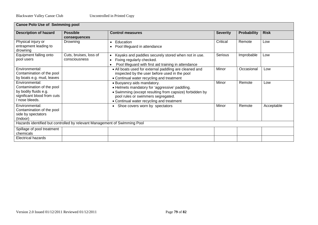| <b>Canoe Polo Use of Swimming pool</b>                                    |                        |                                                         |                 |                    |             |  |  |
|---------------------------------------------------------------------------|------------------------|---------------------------------------------------------|-----------------|--------------------|-------------|--|--|
| <b>Description of hazard</b>                                              | <b>Possible</b>        | <b>Control measures</b>                                 | <b>Severity</b> | <b>Probability</b> | <b>Risk</b> |  |  |
|                                                                           | consequences           |                                                         |                 |                    |             |  |  |
| Physical injury or                                                        | Drowning               | Education<br>$\bullet$                                  | Critical        | Remote             | Low         |  |  |
| entrapment leading to                                                     |                        | Pool lifeguard in attendance                            |                 |                    |             |  |  |
| drowning                                                                  |                        |                                                         |                 |                    |             |  |  |
| Equipment falling onto                                                    | Cuts, bruises, loss of | Kayaks and paddles securely stored when not in use.     | Serious         | Improbable         | Low         |  |  |
| pool users                                                                | consciousness          | Fixing regularly checked.                               |                 |                    |             |  |  |
|                                                                           |                        | Pool lifeguard with first aid training in attendance    |                 |                    |             |  |  |
| Environmental:                                                            |                        | • All boats used for external paddling are cleaned and  | Minor           | Occasional         | Low         |  |  |
| Contamination of the pool                                                 |                        | inspected by the user before used in the pool           |                 |                    |             |  |  |
| by boats e.g. mud, leaves                                                 |                        | • Continual water recycling and treatment               |                 |                    |             |  |  |
| Environmental:                                                            |                        | • Buoyancy aids mandatory.                              | Minor           | Remote             | Low         |  |  |
| Contamination of the pool                                                 |                        | • Helmets mandatory for 'aggressive' paddling.          |                 |                    |             |  |  |
| by bodily fluids e.g.                                                     |                        | • Swimming (except resulting from capsize) forbidden by |                 |                    |             |  |  |
| significant blood from cuts                                               |                        | pool rules or swimmers segregated.                      |                 |                    |             |  |  |
| / nose bleeds.                                                            |                        | • Continual water recycling and treatment               |                 |                    |             |  |  |
| Environmental:                                                            |                        | Shoe covers worn by spectators                          | Minor           | Remote             | Acceptable  |  |  |
| Contamination of the pool                                                 |                        |                                                         |                 |                    |             |  |  |
| side by spectators                                                        |                        |                                                         |                 |                    |             |  |  |
| (Indoor)                                                                  |                        |                                                         |                 |                    |             |  |  |
| Hazards identified but controlled by relevant Management of Swimming Pool |                        |                                                         |                 |                    |             |  |  |
| Spillage of pool treatment                                                |                        |                                                         |                 |                    |             |  |  |
| chemicals                                                                 |                        |                                                         |                 |                    |             |  |  |
| <b>Electrical hazards</b>                                                 |                        |                                                         |                 |                    |             |  |  |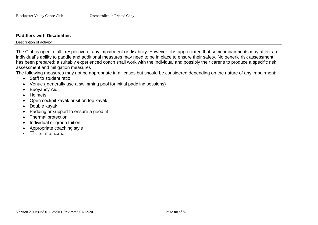| <b>Paddlers with Disabilities</b>                                                                                                                                                                                                                                                                                                                                                                                                                                                          |
|--------------------------------------------------------------------------------------------------------------------------------------------------------------------------------------------------------------------------------------------------------------------------------------------------------------------------------------------------------------------------------------------------------------------------------------------------------------------------------------------|
| Description of activity:                                                                                                                                                                                                                                                                                                                                                                                                                                                                   |
| The Club is open to all irrespective of any impairment or disability. However, it is appreciated that some impairments may affect an<br>individual"s ability to paddle and additional measures may need to be in place to ensure their safety. No generic risk assessment<br>has been prepared: a suitably experienced coach shall work with the individual and possibly their carer's to produce a specific risk<br>assessment and mitigation measures                                    |
| The following measures may not be appropriate in all cases but should be considered depending on the nature of any impairment:<br>• Staff to student ratio<br>Venue (generally use a swimming pool for initial paddling sessions)<br><b>Buoyancy Aid</b><br><b>Helmets</b><br>Open cockpit kayak or sit on top kayak<br>Double kayak<br>Padding or support to ensure a good fit<br>Thermal protection<br>Individual or group tuition<br>Appropriate coaching style<br>$\Box$ Communication |